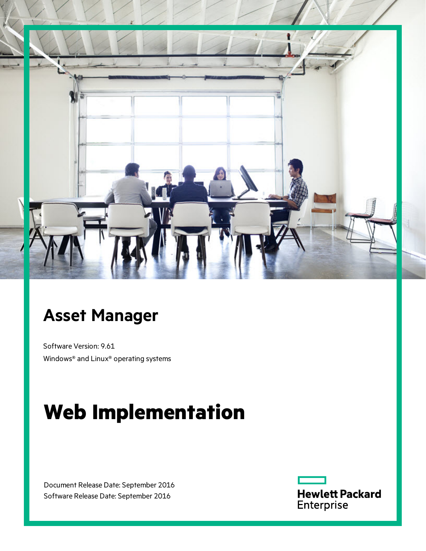

# **Asset Manager**

Software Version: 9.61 Windows® and Linux® operating systems

# **Web Implementation**

Document Release Date: September 2016 Software Release Date: September 2016

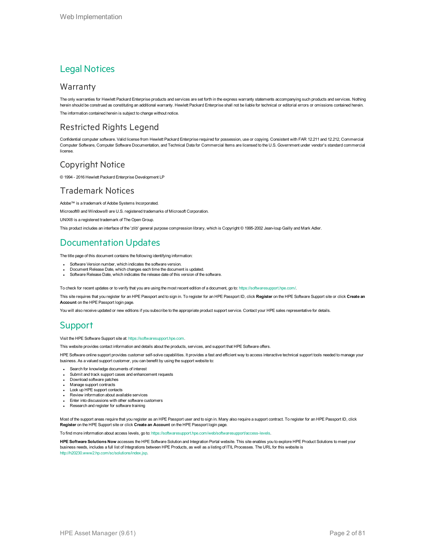### Legal Notices

#### **Warranty**

The only warranties for Hewlett Packard Enterprise products and services are set forth in the express warranty statements accompanying such products and services. Nothing herein should be construed as constituting an additional warranty. Hewlett Packard Enterprise shall not be liable for technical or editorial errors or omissions contained herein. The information contained herein is subject to change without notice.

### Restricted Rights Legend

Confidential computer software. Valid license from Hewlett Packard Enterprise required for possession, use or copying. Consistent with FAR 12.211 and 12.212, Commercial Computer Software, Computer Software Documentation, and Technical Data for Commercial Items are licensed to the U.S. Government under vendor's standard commercial license.

### Copyright Notice

© 1994 - 2016 Hewlett Packard Enterprise Development LP

### Trademark Notices

Adobe™ is a trademark of Adobe Systems Incorporated.

Microsoft® and Windows® are U.S. registered trademarks of Microsoft Corporation.

UNIX® is a registered trademark of The Open Group.

This product includes an interface of the 'zlib' general purpose compression library, which is Copyright © 1995-2002 Jean-loup Gailly and Mark Adler.

### Documentation Updates

The title page of this document contains the following identifying information:

- Software Version number, which indicates the software version.
- Document Release Date, which changes each time the document is updated.
- Software Release Date, which indicates the release date of this version of the software.

To check for recent updates or to verify that you are using the most recent edition of a document, go to: <https://softwaresupport.hpe.com/>.

This site requires that you register for an HPE Passport and to sign in. To register for an HPE Passport ID, click **Register** on the HPE Software Support site or click **Create an Account** on the HPE Passport login page.

You will also receive updated or new editions if you subscribe to the appropriate product support service. Contact your HPE sales representative for details.

### **Support**

Visit the HPE Software Support site at: [https://softwaresupport.hpe.com.](https://softwaresupport.hpe.com/)

This website provides contact information and details about the products, services, and support that HPE Software offers.

HPE Software online support provides customer self-solve capabilities. It provides a fast and efficient way to access interactive technical support tools needed to manage your business. As a valued support customer, you can benefit by using the support website to:

- Search for knowledge documents of interest
- Submit and track support cases and enhancement requests
- Download software patches
- Manage support contracts
- Look up HPE support contacts
- Review information about available services Enter into discussions with other software customers
- Research and register for software training
- 

Most of the support areas require that you register as an HPE Passport user and to sign in. Many also require a support contract. To register for an HPE Passport ID, click **Register** on the HPE Support site or click **Create an Account** on the HPE Passport login page.

To find more information about access levels, go to: <https://softwaresupport.hpe.com/web/softwaresupport/access-levels>.

**HPE Software Solutions Now** accesses the HPE Software Solution and Integration Portal website. This site enables you to explore HPE Product Solutions to meet your business needs, includes a full list of Integrations between HPE Products, as well as a listing of ITIL Processes. The URL for this website is [http://h20230.www2.hp.com/sc/solutions/index.jsp.](http://h20230.www2.hp.com/sc/solutions/index.jsp)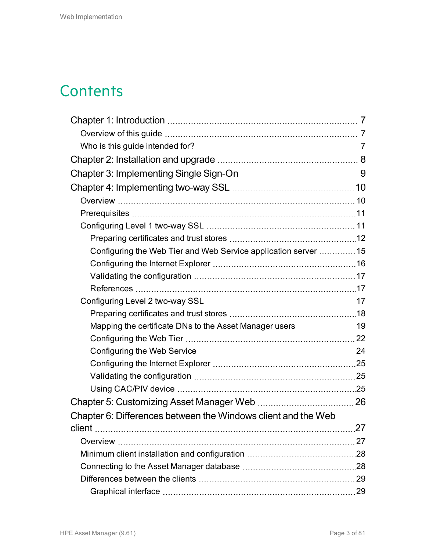## **Contents**

| Configuring the Web Tier and Web Service application server  15 |  |
|-----------------------------------------------------------------|--|
|                                                                 |  |
|                                                                 |  |
|                                                                 |  |
|                                                                 |  |
|                                                                 |  |
| Mapping the certificate DNs to the Asset Manager users  19      |  |
|                                                                 |  |
|                                                                 |  |
|                                                                 |  |
|                                                                 |  |
|                                                                 |  |
|                                                                 |  |
| Chapter 6: Differences between the Windows client and the Web   |  |
|                                                                 |  |
|                                                                 |  |
|                                                                 |  |
|                                                                 |  |
|                                                                 |  |
|                                                                 |  |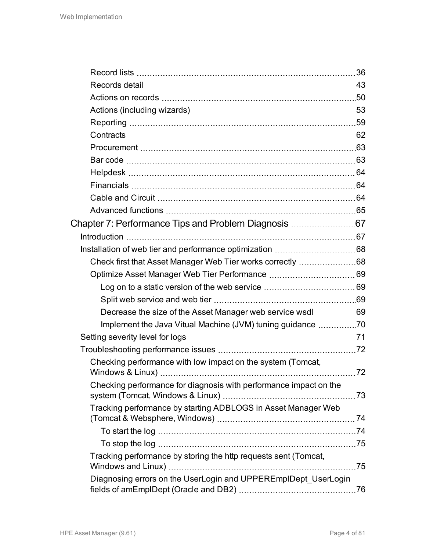|                                                                   | 36 |
|-------------------------------------------------------------------|----|
|                                                                   |    |
|                                                                   |    |
|                                                                   |    |
|                                                                   |    |
|                                                                   |    |
|                                                                   |    |
|                                                                   |    |
|                                                                   |    |
|                                                                   |    |
|                                                                   |    |
|                                                                   |    |
| Chapter 7: Performance Tips and Problem Diagnosis 67              |    |
|                                                                   |    |
|                                                                   |    |
| Check first that Asset Manager Web Tier works correctly 68        |    |
|                                                                   |    |
|                                                                   |    |
|                                                                   |    |
|                                                                   |    |
|                                                                   |    |
|                                                                   |    |
|                                                                   |    |
| Checking performance with low impact on the system (Tomcat,       |    |
|                                                                   |    |
| Checking performance for diagnosis with performance impact on the |    |
|                                                                   |    |
| Tracking performance by starting ADBLOGS in Asset Manager Web     |    |
|                                                                   |    |
|                                                                   |    |
| Tracking performance by storing the http requests sent (Tomcat,   |    |
| Diagnosing errors on the UserLogin and UPPEREmplDept_UserLogin    |    |
|                                                                   |    |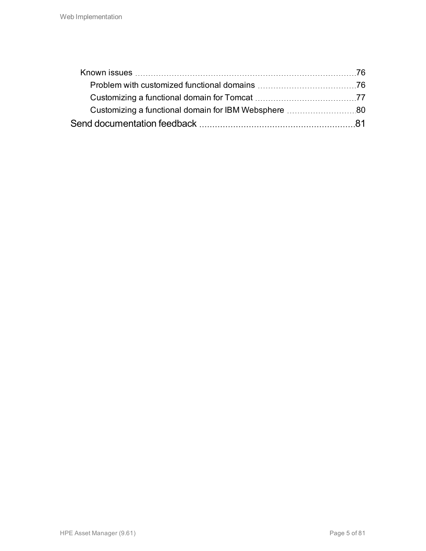| Customizing a functional domain for IBM Websphere 80 |  |
|------------------------------------------------------|--|
|                                                      |  |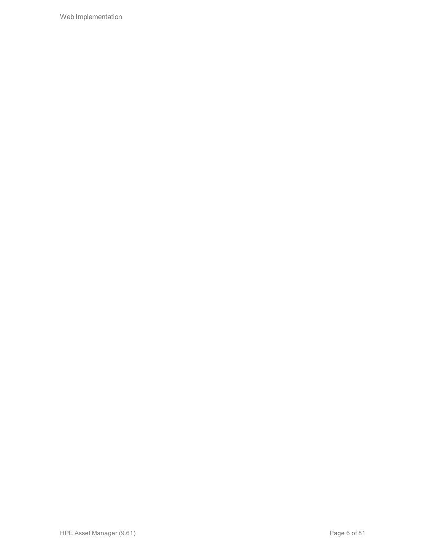Web Implementation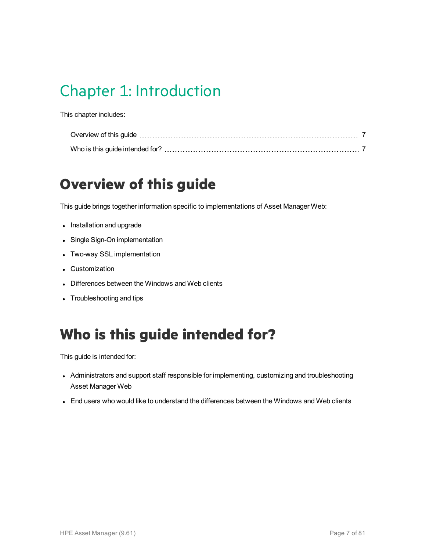# <span id="page-6-0"></span>Chapter 1: Introduction

This chapter includes:

## <span id="page-6-1"></span>**Overview of this guide**

This guide brings together information specific to implementations of Asset Manager Web:

- Installation and upgrade
- Single Sign-On implementation
- Two-way SSL implementation
- Customization
- Differences between the Windows and Web clients
- Troubleshooting and tips

## <span id="page-6-2"></span>**Who is this guide intended for?**

This guide is intended for:

- Administrators and support staff responsible for implementing, customizing and troubleshooting Asset Manager Web
- End users who would like to understand the differences between the Windows and Web clients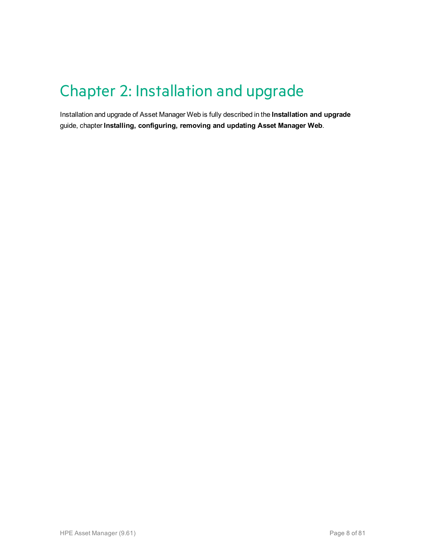# <span id="page-7-0"></span>Chapter 2: Installation and upgrade

Installation and upgrade of Asset Manager Web is fully described in the **Installation and upgrade** guide, chapter **Installing, configuring, removing and updating Asset Manager Web**.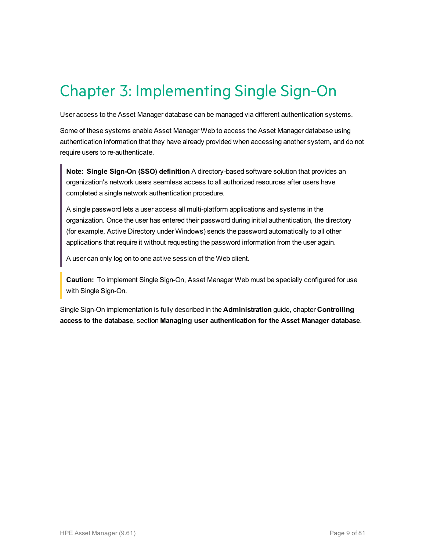# <span id="page-8-0"></span>Chapter 3: Implementing Single Sign-On

User access to the Asset Manager database can be managed via different authentication systems.

Some of these systems enable Asset Manager Web to access the Asset Manager database using authentication information that they have already provided when accessing another system, and do not require users to re-authenticate.

**Note: Single Sign-On (SSO) definition** A directory-based software solution that provides an organization's network users seamless access to all authorized resources after users have completed a single network authentication procedure.

A single password lets a user access all multi-platform applications and systems in the organization. Once the user has entered their password during initial authentication, the directory (for example, Active Directory under Windows) sends the password automatically to all other applications that require it without requesting the password information from the user again.

A user can only log on to one active session of the Web client.

**Caution:** To implement Single Sign-On, Asset Manager Web must be specially configured for use with Single Sign-On.

Single Sign-On implementation is fully described in the **Administration** guide, chapter **Controlling access to the database**, section **Managing user authentication for the Asset Manager database**.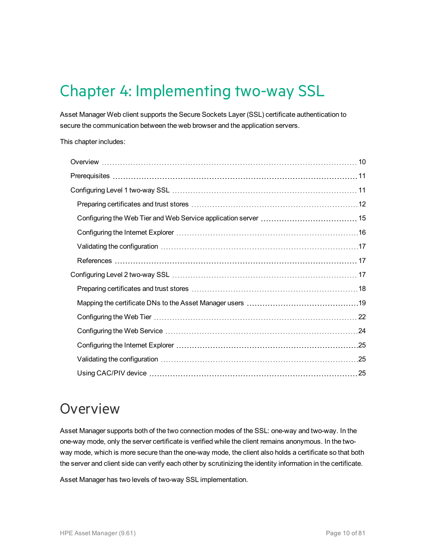# <span id="page-9-0"></span>Chapter 4: Implementing two-way SSL

Asset Manager Web client supports the Secure Sockets Layer (SSL) certificate authentication to secure the communication between the web browser and the application servers.

This chapter includes:

### <span id="page-9-1"></span>**Overview**

Asset Manager supports both of the two connection modes of the SSL: one-way and two-way. In the one-way mode, only the server certificate is verified while the client remains anonymous. In the twoway mode, which is more secure than the one-way mode, the client also holds a certificate so that both the server and client side can verify each other by scrutinizing the identity information in the certificate.

Asset Manager has two levels of two-way SSL implementation.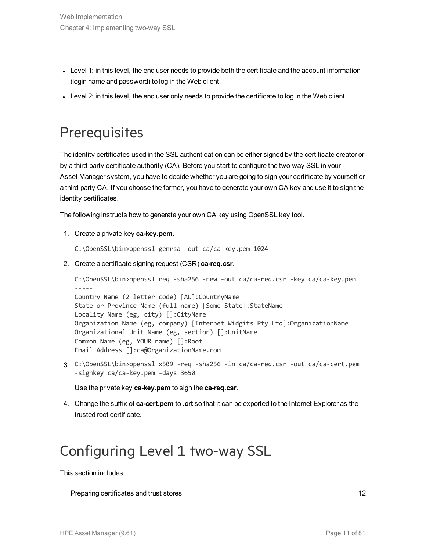- Level 1: in this level, the end user needs to provide both the certificate and the account information (login name and password) to log in the Web client.
- Level 2: in this level, the end user only needs to provide the certificate to log in the Web client.

### <span id="page-10-0"></span>**Prerequisites**

The identity certificates used in the SSL authentication can be either signed by the certificate creator or by a third-party certificate authority (CA). Before you start to configure the two-way SSL in your Asset Manager system, you have to decide whether you are going to sign your certificate by yourself or a third-party CA. If you choose the former, you have to generate your own CA key and use it to sign the identity certificates.

The following instructs how to generate your own CA key using OpenSSL key tool.

1. Create a private key **ca-key.pem**.

C:\OpenSSL\bin>openssl genrsa -out ca/ca-key.pem 1024

2. Create a certificate signing request (CSR) **ca-req.csr**.

C:\OpenSSL\bin>openssl req -sha256 -new -out ca/ca-req.csr -key ca/ca-key.pem ----- Country Name (2 letter code) [AU]:CountryName State or Province Name (full name) [Some-State]:StateName Locality Name (eg, city) []:CityName Organization Name (eg, company) [Internet Widgits Pty Ltd]:OrganizationName Organizational Unit Name (eg, section) []:UnitName Common Name (eg, YOUR name) []:Root Email Address []:ca@OrganizationName.com

3. C:\OpenSSL\bin>openssl x509 -req -sha256 -in ca/ca-req.csr -out ca/ca-cert.pem -signkey ca/ca-key.pem -days 3650

Use the private key **ca-key.pem** to sign the **ca-req.csr**.

4. Change the suffix of **ca-cert.pem** to **.crt** so that it can be exported to the Internet Explorer as the trusted root certificate.

## <span id="page-10-1"></span>Configuring Level 1 two-way SSL

This section includes:

Preparing [certificates](#page-11-0) and trust stores [12](#page-11-0)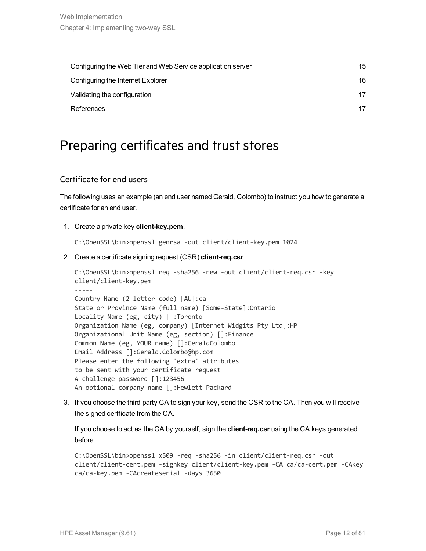### <span id="page-11-0"></span>Preparing certificates and trust stores

#### <span id="page-11-1"></span>Certificate for end users

The following uses an example (an end user named Gerald, Colombo) to instruct you how to generate a certificate for an end user.

#### 1. Create a private key **client-key.pem**.

C:\OpenSSL\bin>openssl genrsa -out client/client-key.pem 1024

2. Create a certificate signing request (CSR) **client-req.csr**.

```
C:\OpenSSL\bin>openssl req -sha256 -new -out client/client-req.csr -key
client/client-key.pem
-----
Country Name (2 letter code) [AU]:ca
State or Province Name (full name) [Some-State]:Ontario
Locality Name (eg, city) []:Toronto
Organization Name (eg, company) [Internet Widgits Pty Ltd]:HP
Organizational Unit Name (eg, section) []:Finance
Common Name (eg, YOUR name) []:GeraldColombo
Email Address []:Gerald.Colombo@hp.com
Please enter the following 'extra' attributes
to be sent with your certificate request
A challenge password []:123456
An optional company name []:Hewlett-Packard
```
3. If you choose the third-party CA to sign your key, send the CSR to the CA. Then you will receive the signed certficate from the CA.

If you choose to act as the CA by yourself, sign the **client-req.csr** using the CA keys generated before

```
C:\OpenSSL\bin>openssl x509 -req -sha256 -in client/client-req.csr -out
client/client-cert.pem -signkey client/client-key.pem -CA ca/ca-cert.pem -CAkey
ca/ca-key.pem -CAcreateserial -days 3650
```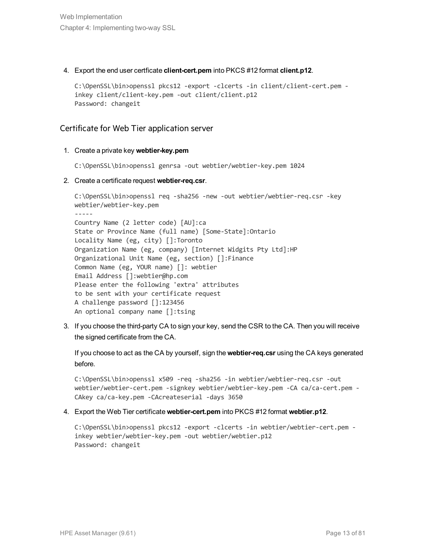Web Implementation Chapter 4: Implementing two-way SSL

4. Export the end user certficate **client-cert.pem** into PKCS #12 format **client.p12**.

```
C:\OpenSSL\bin>openssl pkcs12 -export -clcerts -in client/client-cert.pem -
inkey client/client-key.pem -out client/client.p12
Password: changeit
```
#### <span id="page-12-0"></span>Certificate for Web Tier application server

#### 1. Create a private key **webtier-key.pem**

C:\OpenSSL\bin>openssl genrsa -out webtier/webtier-key.pem 1024

#### 2. Create a certificate request **webtier-req.csr**.

C:\OpenSSL\bin>openssl req -sha256 -new -out webtier/webtier-req.csr -key webtier/webtier-key.pem ----- Country Name (2 letter code) [AU]:ca State or Province Name (full name) [Some-State]:Ontario Locality Name (eg, city) []:Toronto Organization Name (eg, company) [Internet Widgits Pty Ltd]:HP Organizational Unit Name (eg, section) []:Finance Common Name (eg, YOUR name) []: webtier Email Address []:webtier@hp.com Please enter the following 'extra' attributes to be sent with your certificate request A challenge password []:123456 An optional company name []:tsing

3. If you choose the third-party CA to sign your key, send the CSR to the CA. Then you will receive the signed certificate from the CA.

If you choose to act as the CA by yourself, sign the **webtier-req.csr** using the CA keys generated before.

C:\OpenSSL\bin>openssl x509 -req -sha256 -in webtier/webtier-req.csr -out webtier/webtier-cert.pem -signkey webtier/webtier-key.pem -CA ca/ca-cert.pem - CAkey ca/ca-key.pem -CAcreateserial -days 3650

4. Export the Web Tier certificate **webtier-cert.pem** into PKCS #12 format **webtier.p12**.

C:\OpenSSL\bin>openssl pkcs12 -export -clcerts -in webtier/webtier-cert.pem inkey webtier/webtier-key.pem -out webtier/webtier.p12 Password: changeit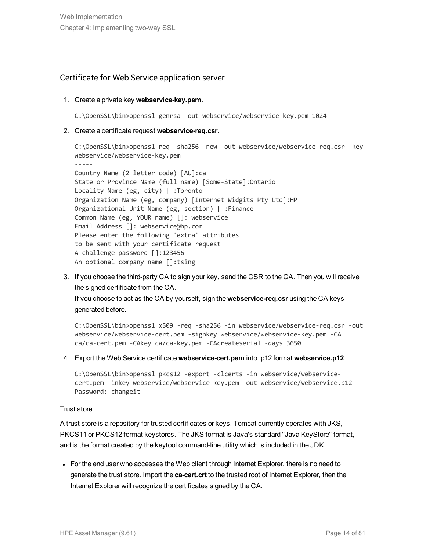#### <span id="page-13-0"></span>Certificate for Web Service application server

#### 1. Create a private key **webservice-key.pem**.

C:\OpenSSL\bin>openssl genrsa -out webservice/webservice-key.pem 1024

#### 2. Create a certificate request **webservice-req.csr**.

C:\OpenSSL\bin>openssl req -sha256 -new -out webservice/webservice-req.csr -key webservice/webservice-key.pem ----- Country Name (2 letter code) [AU]:ca State or Province Name (full name) [Some-State]:Ontario Locality Name (eg, city) []:Toronto Organization Name (eg, company) [Internet Widgits Pty Ltd]:HP Organizational Unit Name (eg, section) []:Finance Common Name (eg, YOUR name) []: webservice Email Address []: webservice@hp.com Please enter the following 'extra' attributes to be sent with your certificate request A challenge password []:123456 An optional company name []:tsing

3. If you choose the third-party CA to sign your key, send the CSR to the CA. Then you will receive the signed certificate from the CA.

If you choose to act as the CA by yourself, sign the **webservice-req.csr** using the CA keys generated before.

C:\OpenSSL\bin>openssl x509 -req -sha256 -in webservice/webservice-req.csr -out webservice/webservice-cert.pem -signkey webservice/webservice-key.pem -CA ca/ca-cert.pem -CAkey ca/ca-key.pem -CAcreateserial -days 3650

4. Export the Web Service certificate **webservice-cert.pem** into .p12 format **webservice.p12**

C:\OpenSSL\bin>openssl pkcs12 -export -clcerts -in webservice/webservicecert.pem -inkey webservice/webservice-key.pem -out webservice/webservice.p12 Password: changeit

#### <span id="page-13-1"></span>Trust store

A trust store is a repository for trusted certificates or keys. Tomcat currently operates with JKS, PKCS11 or PKCS12 format keystores. The JKS format is Java's standard "Java KeyStore" format, and is the format created by the keytool command-line utility which is included in the JDK.

• For the end user who accesses the Web client through Internet Explorer, there is no need to generate the trust store. Import the **ca-cert.crt** to the trusted root of Internet Explorer, then the Internet Explorer will recognize the certificates signed by the CA.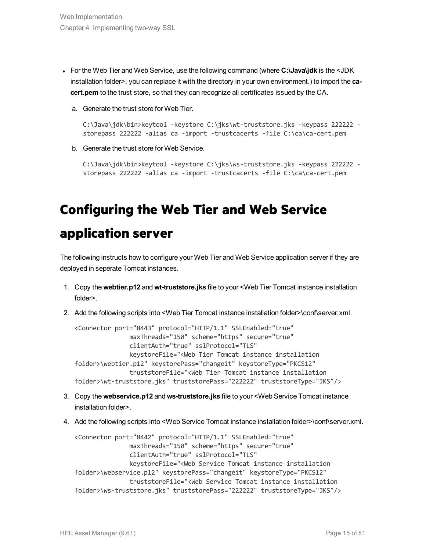- <sup>l</sup> For the Web Tier and Web Service, use the following command (where **C:\Java\jdk** is the <JDK installation folder>, you can replace it with the directory in your own environment.) to import the **cacert.pem** to the trust store, so that they can recognize all certificates issued by the CA.
	- a. Generate the trust store for Web Tier.

```
C:\Java\jdk\bin>keytool -keystore C:\jks\wt-truststore.jks -keypass 222222 -
storepass 222222 -alias ca -import -trustcacerts -file C:\ca\ca-cert.pem
```
b. Generate the trust store for Web Service.

```
C:\Java\jdk\bin>keytool -keystore C:\jks\ws-truststore.jks -keypass 222222 -
storepass 222222 -alias ca -import -trustcacerts -file C:\ca\ca-cert.pem
```
# <span id="page-14-0"></span>**Configuring the Web Tier and Web Service application server**

The following instructs how to configure your Web Tier and Web Service application server if they are deployed in seperate Tomcat instances.

- 1. Copy the **webtier.p12** and **wt-truststore.jks** file to your <Web Tier Tomcat instance installation folder>.
- 2. Add the following scripts into <Web Tier Tomcat instance installation folder>\conf\server.xml.

```
<Connector port="8443" protocol="HTTP/1.1" SSLEnabled="true"
               maxThreads="150" scheme="https" secure="true"
               clientAuth="true" sslProtocol="TLS"
               keystoreFile="<Web Tier Tomcat instance installation
folder>\webtier.p12" keystorePass="changeit" keystoreType="PKCS12"
               truststoreFile="<Web Tier Tomcat instance installation
folder>\wt-truststore.jks" truststorePass="222222" truststoreType="JKS"/>
```
- 3. Copy the **webservice.p12** and **ws-truststore.jks** file to your <Web Service Tomcat instance installation folder>.
- 4. Add the following scripts into <Web Service Tomcat instance installation folder>\conf\server.xml.

```
<Connector port="8442" protocol="HTTP/1.1" SSLEnabled="true"
               maxThreads="150" scheme="https" secure="true"
               clientAuth="true" sslProtocol="TLS"
               keystoreFile="<Web Service Tomcat instance installation
folder>\webservice.p12" keystorePass="changeit" keystoreType="PKCS12"
               truststoreFile="<Web Service Tomcat instance installation
folder>\ws-truststore.jks" truststorePass="222222" truststoreType="JKS"/>
```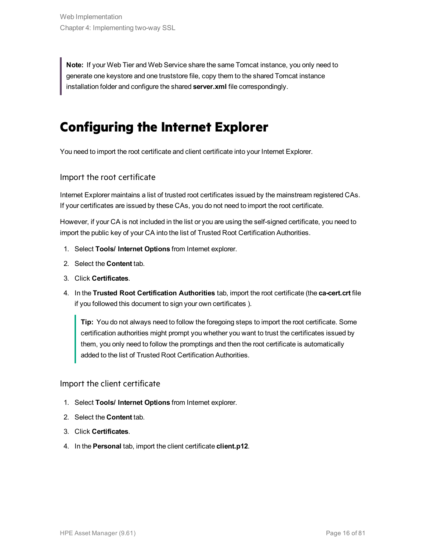**Note:** If your Web Tier and Web Service share the same Tomcat instance, you only need to generate one keystore and one truststore file, copy them to the shared Tomcat instance installation folder and configure the shared **server.xml** file correspondingly.

## <span id="page-15-0"></span>**Configuring the Internet Explorer**

You need to import the root certificate and client certificate into your Internet Explorer.

#### Import the root certificate

Internet Explorer maintains a list of trusted root certificates issued by the mainstream registered CAs. If your certificates are issued by these CAs, you do not need to import the root certificate.

However, if your CA is not included in the list or you are using the self-signed certificate, you need to import the public key of your CA into the list of Trusted Root Certification Authorities.

- 1. Select **Tools/ Internet Options** from Internet explorer.
- 2. Select the **Content** tab.
- 3. Click **Certificates**.
- 4. In the **Trusted Root Certification Authorities** tab, import the root certificate (the **ca-cert.crt** file if you followed this document to sign your own certificates ).

**Tip:** You do not always need to follow the foregoing steps to import the root certificate. Some certification authorities might prompt you whether you want to trust the certificates issued by them, you only need to follow the promptings and then the root certificate is automatically added to the list of Trusted Root Certification Authorities.

#### Import the client certificate

- 1. Select **Tools/ Internet Options** from Internet explorer.
- 2. Select the **Content** tab.
- 3. Click **Certificates**.
- 4. In the **Personal** tab, import the client certificate **client.p12**.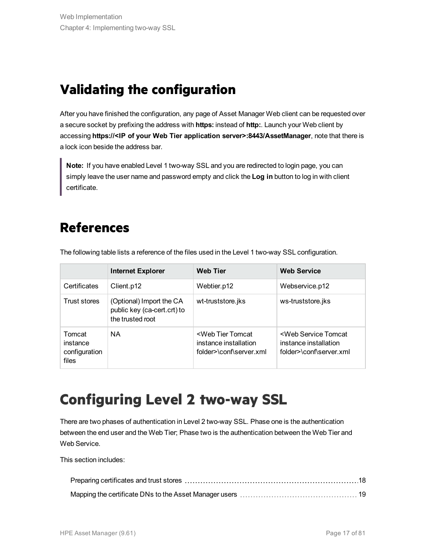## <span id="page-16-0"></span>**Validating the configuration**

After you have finished the configuration, any page of Asset Manager Web client can be requested over a secure socket by prefixing the address with **https:** instead of **http:**. Launch your Web client by accessing **https://<IP of your Web Tier application server>:8443/AssetManager**, note that there is a lock icon beside the address bar.

**Note:** If you have enabled Level 1 two-way SSL and you are redirected to login page, you can simply leave the user name and password empty and click the **Log in** button to log in with client certificate.

### <span id="page-16-1"></span>**References**

|                                              | <b>Internet Explorer</b>                                                    | <b>Web Tier</b>                                                                      | <b>Web Service</b>                                                                      |
|----------------------------------------------|-----------------------------------------------------------------------------|--------------------------------------------------------------------------------------|-----------------------------------------------------------------------------------------|
| Certificates                                 | Client.p12                                                                  | Webtier.p12                                                                          | Webservice.p12                                                                          |
| Trust stores                                 | (Optional) Import the CA<br>public key (ca-cert.crt) to<br>the trusted root | wt-truststore.jks                                                                    | ws-truststore.jks                                                                       |
| Tomcat<br>instance<br>configuration<br>files | <b>NA</b>                                                                   | <web tier="" tomcat<br="">instance installation<br/>folder&gt;\conf\server.xml</web> | <web service="" tomcat<br="">instance installation<br/>folder&gt;\conf\server.xml</web> |

The following table lists a reference of the files used in the Level 1 two-way SSL configuration.

## <span id="page-16-2"></span>**Configuring Level 2 two-way SSL**

There are two phases of authentication in Level 2 two-way SSL. Phase one is the authentication between the end user and the Web Tier; Phase two is the authentication between the Web Tier and Web Service.

This section includes: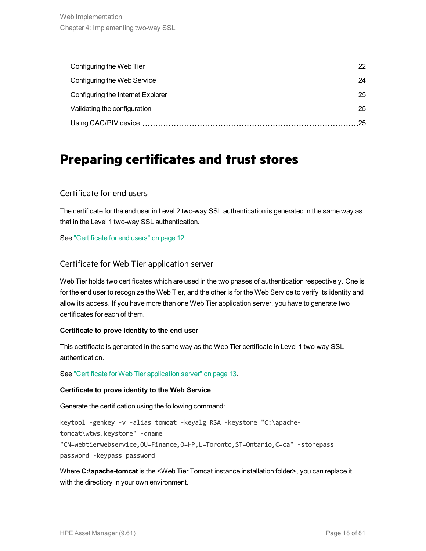### <span id="page-17-0"></span>**Preparing certificates and trust stores**

#### Certificate for end users

The certificate for the end user in Level 2 two-way SSL authentication is generated in the same way as that in the Level 1 two-way SSL authentication.

See ["Certificate](#page-11-1) for end users" on page 12.

#### Certificate for Web Tier application server

Web Tier holds two certificates which are used in the two phases of authentication respectively. One is for the end user to recognize the Web Tier, and the other is for the Web Service to verify its identity and allow its access. If you have more than one Web Tier application server, you have to generate two certificates for each of them.

#### **Certificate to prove identity to the end user**

This certificate is generated in the same way as the Web Tier certificate in Level 1 two-way SSL authentication.

See ["Certificate](#page-12-0) for Web Tier application server" on page 13.

#### **Certificate to prove identity to the Web Service**

Generate the certification using the following command:

keytool -genkey -v -alias tomcat -keyalg RSA -keystore "C:\apachetomcat\wtws.keystore" -dname "CN=webtierwebservice,OU=Finance,O=HP,L=Toronto,ST=Ontario,C=ca" -storepass password -keypass password

Where **C:\apache-tomcat** is the <Web Tier Tomcat instance installation folder>, you can replace it with the directiory in your own environment.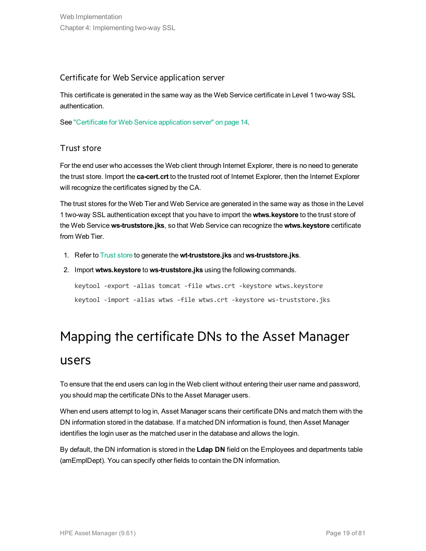#### Certificate for Web Service application server

This certificate is generated in the same way as the Web Service certificate in Level 1 two-way SSL authentication.

See ["Certificate](#page-13-0) for Web Service application server" on page 14.

#### Trust store

For the end user who accesses the Web client through Internet Explorer, there is no need to generate the trust store. Import the **ca-cert.crt** to the trusted root of Internet Explorer, then the Internet Explorer will recognize the certificates signed by the CA.

The trust stores for the Web Tier and Web Service are generated in the same way as those in the Level 1 two-way SSL authentication except that you have to import the **wtws.keystore** to the trust store of the Web Service **ws-truststore.jks**, so that Web Service can recognize the **wtws.keystore** certificate from Web Tier.

- 1. Refer to [Trust](#page-13-1) store to generate the **wt-truststore.jks** and **ws-truststore.jks**.
- 2. Import **wtws.keystore** to **ws-truststore.jks** using the following commands.

keytool -export -alias tomcat -file wtws.crt -keystore wtws.keystore keytool -import -alias wtws -file wtws.crt -keystore ws-truststore.jks

# <span id="page-18-0"></span>Mapping the certificate DNs to the Asset Manager

### users

To ensure that the end users can log in the Web client without entering their user name and password, you should map the certificate DNs to the Asset Manager users.

When end users attempt to log in, Asset Manager scans their certificate DNs and match them with the DN information stored in the database. If a matched DN information is found, then Asset Manager identifies the login user as the matched user in the database and allows the login.

By default, the DN information is stored in the **Ldap DN** field on the Employees and departments table (amEmplDept). You can specify other fields to contain the DN information.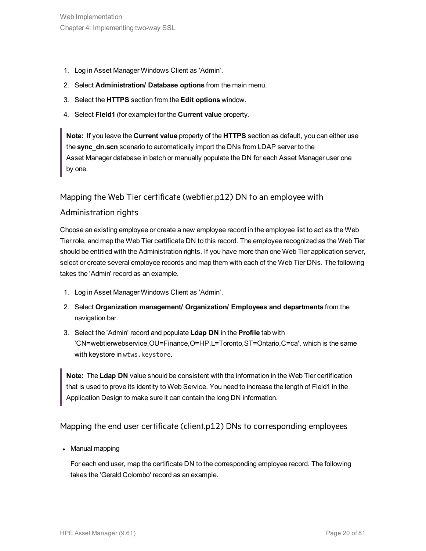- 1. Log in Asset Manager Windows Client as 'Admin'.
- 2. Select **Administration/ Database options** from the main menu.
- 3. Select the **HTTPS** section from the **Edit options** window.
- 4. Select **Field1** (for example) for the **Current value** property.

**Note:** If you leave the **Current value** property of the **HTTPS** section as default, you can either use the **sync\_dn.scn** scenario to automatically import the DNs from LDAP server to the Asset Manager database in batch or manually populate the DN for each Asset Manager user one by one.

#### Mapping the Web Tier certificate (webtier.p12) DN to an employee with

#### Administration rights

Choose an existing employee or create a new employee record in the employee list to act as the Web Tier role, and map the Web Tier certificate DN to this record. The employee recognized as the Web Tier should be entitled with the Administration rights. If you have more than one Web Tier application server, select or create several employee records and map them with each of the Web Tier DNs. The following takes the 'Admin' record as an example.

- 1. Log in Asset Manager Windows Client as 'Admin'.
- 2. Select **Organization management/ Organization/ Employees and departments** from the navigation bar.
- 3. Select the 'Admin' record and populate **Ldap DN** in the **Profile** tab with 'CN=webtierwebservice,OU=Finance,O=HP,L=Toronto,ST=Ontario,C=ca', which is the same with keystore in wtws.keystore.

**Note:** The **Ldap DN** value should be consistent with the information in the Web Tier certification that is used to prove its identity to Web Service. You need to increase the length of Field1 in the Application Design to make sure it can contain the long DN information.

#### Mapping the end user certificate (client.p12) DNs to corresponding employees

• Manual mapping

For each end user, map the certificate DN to the corresponding employee record. The following takes the 'Gerald Colombo' record as an example.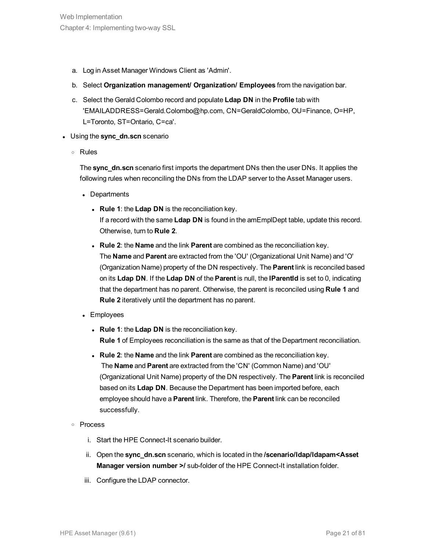- a. Log in Asset Manager Windows Client as 'Admin'.
- b. Select **Organization management/ Organization/ Employees** from the navigation bar.
- c. Select the Gerald Colombo record and populate **Ldap DN** in the **Profile** tab with 'EMAILADDRESS=Gerald.Colombo@hp.com, CN=GeraldColombo, OU=Finance, O=HP, L=Toronto, ST=Ontario, C=ca'.
- **.** Using the **sync\_dn.scn** scenario
	- <sup>o</sup> Rules

The **sync\_dn.scn** scenario first imports the department DNs then the user DNs. It applies the following rules when reconciling the DNs from the LDAP server to the Asset Manager users.

- Departments
	- <sup>l</sup> **Rule 1**: the **Ldap DN** is the reconciliation key.

If a record with the same **Ldap DN** is found in the amEmplDept table, update this record. Otherwise, turn to **Rule 2**.

- <sup>l</sup> **Rule 2**: the **Name** and the link **Parent** are combined as the reconciliation key. The **Name** and **Parent** are extracted from the 'OU' (Organizational Unit Name) and 'O' (Organization Name) property of the DN respectively. The **Parent** link is reconciled based on its **Ldap DN**. If the **Ldap DN** of the **Parent** is null, the **lParentId** is set to 0, indicating that the department has no parent. Otherwise, the parent is reconciled using **Rule 1** and **Rule 2** iteratively until the department has no parent.
- Employees
	- <sup>l</sup> **Rule 1**: the **Ldap DN** is the reconciliation key. **Rule 1** of Employees reconciliation is the same as that of the Department reconciliation.
	- **Rule 2**: the **Name** and the link **Parent** are combined as the reconciliation key. The **Name** and **Parent** are extracted from the 'CN' (Common Name) and 'OU' (Organizational Unit Name) property of the DN respectively. The **Parent** link is reconciled based on its **Ldap DN**. Because the Department has been imported before, each employee should have a **Parent** link. Therefore, the **Parent** link can be reconciled successfully.
- <sup>o</sup> Process
	- i. Start the HPE Connect-It scenario builder.
	- ii. Open the **sync\_dn.scn** scenario, which is located in the **/scenario/ldap/ldapam<Asset Manager version number >/** sub-folder of the HPE Connect-It installation folder.
	- iii. Configure the LDAP connector.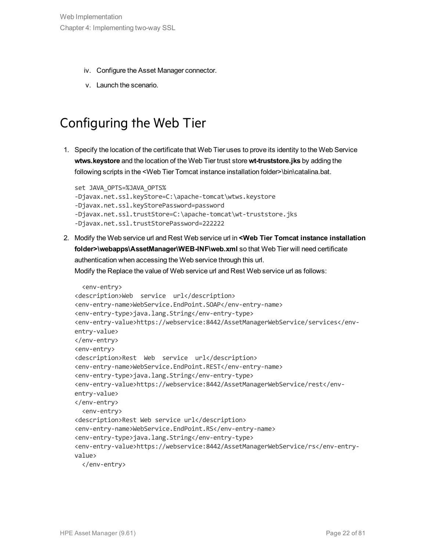- iv. Configure the Asset Manager connector.
- v. Launch the scenario.

### <span id="page-21-0"></span>Configuring the Web Tier

1. Specify the location of the certificate that Web Tier uses to prove its identity to the Web Service **wtws.keystore** and the location of the Web Tier trust store **wt-truststore.jks** by adding the following scripts in the <Web Tier Tomcat instance installation folder>\bin\catalina.bat.

```
set JAVA_OPTS=%JAVA_OPTS%
-Djavax.net.ssl.keyStore=C:\apache-tomcat\wtws.keystore
-Djavax.net.ssl.keyStorePassword=password
-Djavax.net.ssl.trustStore=C:\apache-tomcat\wt-truststore.jks
-Djavax.net.ssl.trustStorePassword=222222
```
2. Modify the Web service url and Rest Web service url in **<Web Tier Tomcat instance installation folder>\webapps\AssetManager\WEB-INF\web.xml** so that Web Tier will need certificate authentication when accessing the Web service through this url. Modify the Replace the value of Web service url and Rest Web service url as follows:

```
<env-entry>
<description>Web service url</description>
<env-entry-name>WebService.EndPoint.SOAP</env-entry-name>
<env-entry-type>java.lang.String</env-entry-type>
<env-entry-value>https://webservice:8442/AssetManagerWebService/services</env-
entry-value>
</env-entry>
<env-entry>
<description>Rest Web service url</description>
<env-entry-name>WebService.EndPoint.REST</env-entry-name>
<env-entry-type>java.lang.String</env-entry-type>
<env-entry-value>https://webservice:8442/AssetManagerWebService/rest</env-
entry-value>
</env-entry>
  <env-entry>
<description>Rest Web service url</description>
<env-entry-name>WebService.EndPoint.RS</env-entry-name>
<env-entry-type>java.lang.String</env-entry-type>
<env-entry-value>https://webservice:8442/AssetManagerWebService/rs</env-entry-
value>
  </env-entry>
```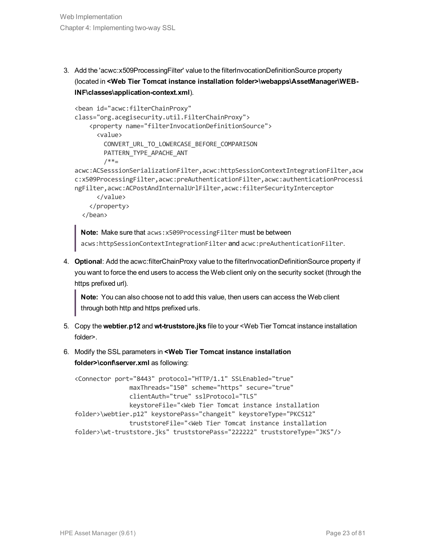3. Add the 'acwc:x509ProcessingFilter' value to the filterInvocationDefinitionSource property (located in **<Web Tier Tomcat instance installation folder>\webapps\AssetManager\WEB-INF\classes\application-context.xml**).

```
<bean id="acwc:filterChainProxy"
class="org.acegisecurity.util.FilterChainProxy">
    <property name="filterInvocationDefinitionSource">
      <value>
       CONVERT_URL_TO_LOWERCASE_BEFORE_COMPARISON
       PATTERN_TYPE_APACHE_ANT
       /**=
acwc:ACSesssionSerializationFilter,acwc:httpSessionContextIntegrationFilter,acw
c:x509ProcessingFilter,acwc:preAuthenticationFilter,acwc:authenticationProcessi
ngFilter,acwc:ACPostAndInternalUrlFilter,acwc:filterSecurityInterceptor
     </value>
    </property>
  </bean>
```
**Note:** Make sure that acws:x509ProcessingFilter must be between acws:httpSessionContextIntegrationFilter and acwc:preAuthenticationFilter.

4. **Optional**: Add the acwc:filterChainProxy value to the filterInvocationDefinitionSource property if you want to force the end users to access the Web client only on the security socket (through the https prefixed url).

**Note:** You can also choose not to add this value, then users can access the Web client through both http and https prefixed urls.

- 5. Copy the **webtier.p12** and **wt-truststore.jks** file to your <Web Tier Tomcat instance installation folder>.
- 6. Modify the SSL parameters in **<Web Tier Tomcat instance installation folder>\conf\server.xml** as following:

<Connector port="8443" protocol="HTTP/1.1" SSLEnabled="true" maxThreads="150" scheme="https" secure="true" clientAuth="true" sslProtocol="TLS" keystoreFile="<Web Tier Tomcat instance installation folder>\webtier.p12" keystorePass="changeit" keystoreType="PKCS12" truststoreFile="<Web Tier Tomcat instance installation folder>\wt-truststore.jks" truststorePass="222222" truststoreType="JKS"/>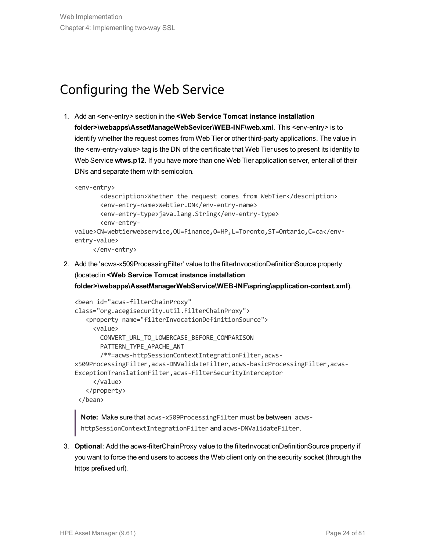## <span id="page-23-0"></span>Configuring the Web Service

1. Add an <env-entry> section in the **<Web Service Tomcat instance installation folder>\webapps\AssetManageWebSevicer\WEB-INF\web.xml**. This <env-entry> is to identify whether the request comes from Web Tier or other third-party applications. The value in the <env-entry-value> tag is the DN of the certificate that Web Tier uses to present its identity to Web Service **wtws.p12**. If you have more than one Web Tier application server, enter all of their DNs and separate them with semicolon.

```
<env-entry>
       <description>Whether the request comes from WebTier</description>
       <env-entry-name>Webtier.DN</env-entry-name>
       <env-entry-type>java.lang.String</env-entry-type>
       <env-entry-
value>CN=webtierwebservice,OU=Finance,O=HP,L=Toronto,ST=Ontario,C=ca</env-
entry-value>
     </env-entry>
```
2. Add the 'acws-x509ProcessingFilter' value to the filterInvocationDefinitionSource property (located in **<Web Service Tomcat instance installation folder>\webapps\AssetManagerWebService\WEB-INF\spring\application-context.xml**).

```
<bean id="acws-filterChainProxy"
class="org.acegisecurity.util.FilterChainProxy">
   <property name="filterInvocationDefinitionSource">
     <value>
       CONVERT_URL_TO_LOWERCASE_BEFORE_COMPARISON
       PATTERN_TYPE_APACHE_ANT
       /**=acws-httpSessionContextIntegrationFilter,acws-
x509ProcessingFilter,acws-DNValidateFilter,acws-basicProcessingFilter,acws-
ExceptionTranslationFilter,acws-FilterSecurityInterceptor
     </value>
   </property>
</bean>
```
**Note:** Make sure that acws-x509ProcessingFilter must be between acwshttpSessionContextIntegrationFilter and acws-DNValidateFilter.

3. **Optional**: Add the acws-filterChainProxy value to the filterInvocationDefinitionSource property if you want to force the end users to access the Web client only on the security socket (through the https prefixed url).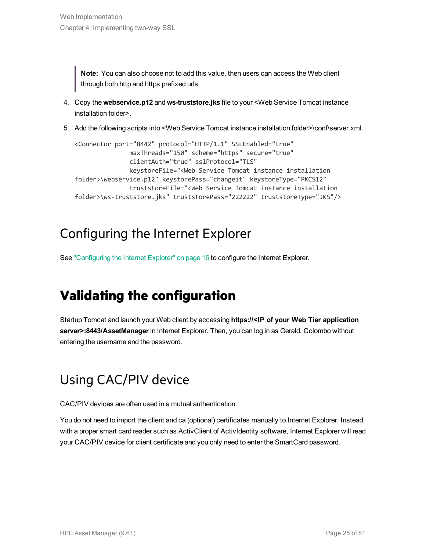**Note:** You can also choose not to add this value, then users can access the Web client through both http and https prefixed urls.

- 4. Copy the **webservice.p12** and **ws-truststore.jks** file to your <Web Service Tomcat instance installation folder>.
- 5. Add the following scripts into <Web Service Tomcat instance installation folder>\conf\server.xml.

```
<Connector port="8442" protocol="HTTP/1.1" SSLEnabled="true"
               maxThreads="150" scheme="https" secure="true"
               clientAuth="true" sslProtocol="TLS"
               keystoreFile="<Web Service Tomcat instance installation
folder>\webservice.p12" keystorePass="changeit" keystoreType="PKCS12"
               truststoreFile="<Web Service Tomcat instance installation
folder>\ws-truststore.jks" truststorePass="222222" truststoreType="JKS"/>
```
### <span id="page-24-0"></span>Configuring the Internet Explorer

<span id="page-24-1"></span>See ["Configuring](#page-15-0) the Internet Explorer" on page 16 to configure the Internet Explorer.

### **Validating the configuration**

Startup Tomcat and launch your Web client by accessing **https://<IP of your Web Tier application server>:8443/AssetManager** in Internet Explorer. Then, you can log in as Gerald, Colombo without entering the username and the password.

### <span id="page-24-2"></span>Using CAC/PIV device

CAC/PIV devices are often used in a mutual authentication.

You do not need to import the client and ca (optional) certificates manually to Internet Explorer. Instead, with a proper smart card reader such as ActivClient of ActivIdentity software, Internet Explorer will read your CAC/PIV device for client certificate and you only need to enter the SmartCard password.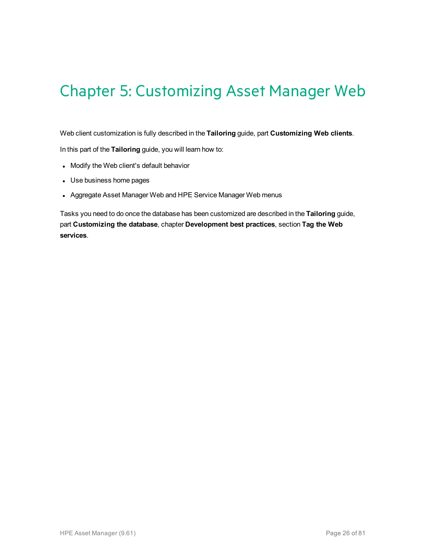# <span id="page-25-0"></span>Chapter 5: Customizing Asset Manager Web

Web client customization is fully described in the **Tailoring** guide, part **Customizing Web clients**.

In this part of the **Tailoring** guide, you will learn how to:

- Modify the Web client's default behavior
- Use business home pages
- Aggregate Asset Manager Web and HPE Service Manager Web menus

Tasks you need to do once the database has been customized are described in the **Tailoring** guide, part **Customizing the database**, chapter **Development best practices**, section **Tag the Web services**.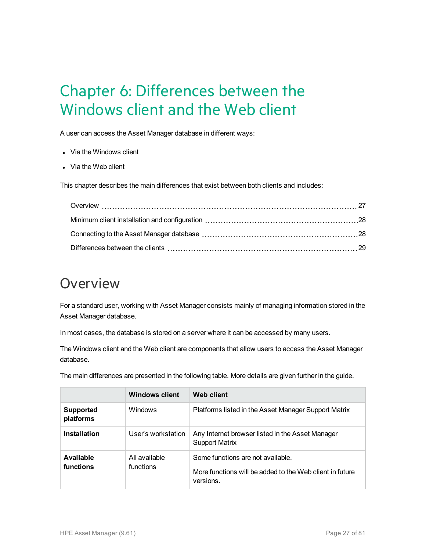# <span id="page-26-0"></span>Chapter 6: Differences between the Windows client and the Web client

A user can access the Asset Manager database in different ways:

- Via the Windows client
- Via the Web client

This chapter describes the main differences that exist between both clients and includes:

## <span id="page-26-1"></span>**Overview**

For a standard user, working with Asset Manager consists mainly of managing information stored in the Asset Manager database.

In most cases, the database is stored on a server where it can be accessed by many users.

The Windows client and the Web client are components that allow users to access the Asset Manager database.

The main differences are presented in the following table. More details are given further in the guide.

|                               | <b>Windows client</b>      | Web client                                                                                                 |
|-------------------------------|----------------------------|------------------------------------------------------------------------------------------------------------|
| <b>Supported</b><br>platforms | Windows                    | Platforms listed in the Asset Manager Support Matrix                                                       |
| <b>Installation</b>           | User's workstation         | Any Internet browser listed in the Asset Manager<br>Support Matrix                                         |
| Available<br>functions        | All available<br>functions | Some functions are not available.<br>More functions will be added to the Web client in future<br>versions. |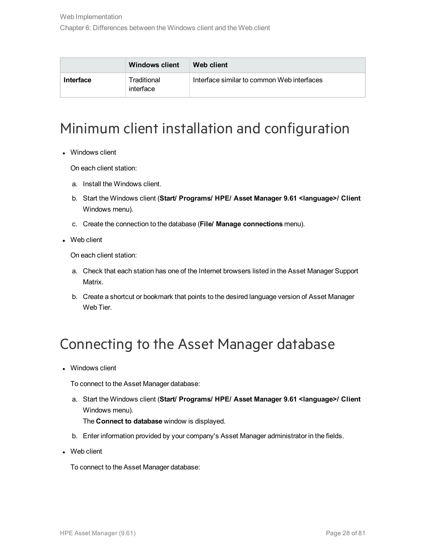|           | <b>Windows client</b>    | Web client                                 |
|-----------|--------------------------|--------------------------------------------|
| Interface | Traditional<br>interface | Interface similar to common Web interfaces |

## <span id="page-27-0"></span>Minimum client installation and configuration

• Windows client

On each client station:

- a. Install the Windows client.
- b. Start the Windows client (**Start/ Programs/ HPE/ Asset Manager 9.61 <language>/ Client** Windows menu).
- c. Create the connection to the database (**File/ Manage connections** menu).
- Web client

On each client station:

- a. Check that each station has one of the Internet browsers listed in the Asset Manager Support Matrix.
- b. Create a shortcut or bookmark that points to the desired language version of Asset Manager Web Tier.

## <span id="page-27-1"></span>Connecting to the Asset Manager database

• Windows client

To connect to the Asset Manager database:

a. Start the Windows client (**Start/ Programs/ HPE/ Asset Manager 9.61 <language>/ Client** Windows menu).

The **Connect to database** window is displayed.

- b. Enter information provided by your company's Asset Manager administrator in the fields.
- Web client

To connect to the Asset Manager database: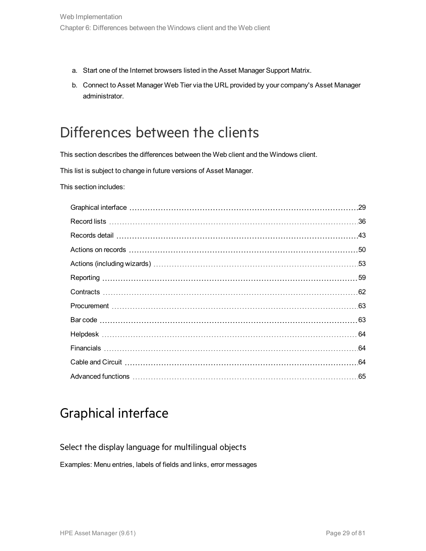- a. Start one of the Internet browsers listed in the Asset Manager Support Matrix.
- b. Connect to Asset Manager Web Tier via the URL provided by your company's Asset Manager administrator.

### <span id="page-28-0"></span>Differences between the clients

This section describes the differences between the Web client and the Windows client.

This list is subject to change in future versions of Asset Manager.

This section includes:

### <span id="page-28-1"></span>Graphical interface

Select the display language for multilingual objects

Examples: Menu entries, labels of fields and links, error messages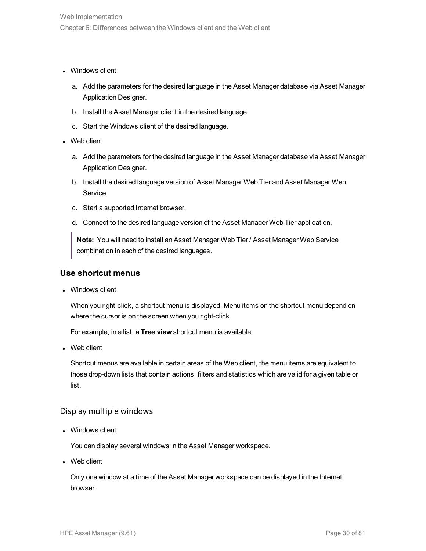- Windows client
	- a. Add the parameters for the desired language in the Asset Manager database via Asset Manager Application Designer.
	- b. Install the Asset Manager client in the desired language.
	- c. Start the Windows client of the desired language.
- $\bullet$  Web client
	- a. Add the parameters for the desired language in the Asset Manager database via Asset Manager Application Designer.
	- b. Install the desired language version of Asset Manager Web Tier and Asset Manager Web Service.
	- c. Start a supported Internet browser.
	- d. Connect to the desired language version of the Asset Manager Web Tier application.

**Note:** You will need to install an Asset Manager Web Tier / Asset Manager Web Service combination in each of the desired languages.

#### **Use shortcut menus**

• Windows client

When you right-click, a shortcut menu is displayed. Menu items on the shortcut menu depend on where the cursor is on the screen when you right-click.

For example, in a list, a **Tree view** shortcut menu is available.

• Web client

Shortcut menus are available in certain areas of the Web client, the menu items are equivalent to those drop-down lists that contain actions, filters and statistics which are valid for a given table or list.

#### Display multiple windows

• Windows client

You can display several windows in the Asset Manager workspace.

• Web client

Only one window at a time of the Asset Manager workspace can be displayed in the Internet browser.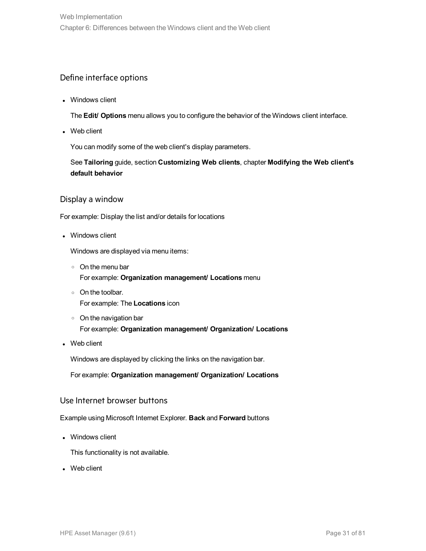### Define interface options

• Windows client

The **Edit/ Options** menu allows you to configure the behavior of the Windows client interface.

• Web client

You can modify some of the web client's display parameters.

See **Tailoring** guide, section **Customizing Web clients**, chapter **Modifying the Web client's default behavior**

#### Display a window

For example: Display the list and/or details for locations

• Windows client

Windows are displayed via menu items:

- <sup>o</sup> On the menu bar For example: **Organization management/ Locations** menu
- <sup>o</sup> On the toolbar. For example: The **Locations** icon
- <sup>o</sup> On the navigation bar For example: **Organization management/ Organization/ Locations**
- Web client

Windows are displayed by clicking the links on the navigation bar.

For example: **Organization management/ Organization/ Locations**

#### Use Internet browser buttons

Example using Microsoft Internet Explorer. **Back** and **Forward** buttons

• Windows client

This functionality is not available.

 $\bullet$  Web client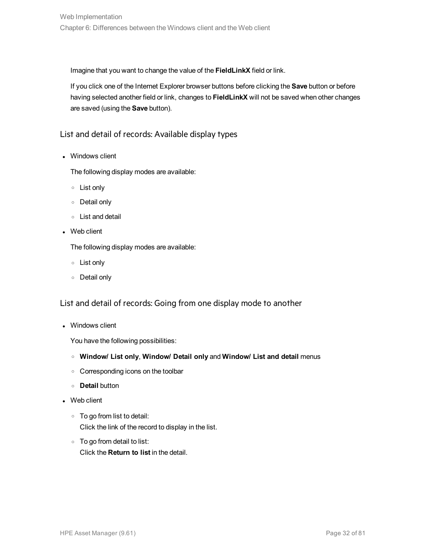Imagine that you want to change the value of the **FieldLinkX** field or link.

If you click one of the Internet Explorer browser buttons before clicking the **Save** button or before having selected another field or link, changes to **FieldLinkX** will not be saved when other changes are saved (using the **Save** button).

List and detail of records: Available display types

• Windows client

The following display modes are available:

- <sup>o</sup> List only
- <sup>o</sup> Detail only
- <sup>o</sup> List and detail
- $\bullet$  Web client

The following display modes are available:

- <sup>o</sup> List only
- <sup>o</sup> Detail only

List and detail of records: Going from one display mode to another

• Windows client

You have the following possibilities:

- <sup>o</sup> **Window/ List only**, **Window/ Detail only** and **Window/ List and detail** menus
- <sup>o</sup> Corresponding icons on the toolbar
- <sup>o</sup> **Detail** button
- $\bullet$  Web client
	- <sup>o</sup> To go from list to detail: Click the link of the record to display in the list.
	- <sup>o</sup> To go from detail to list: Click the **Return to list** in the detail.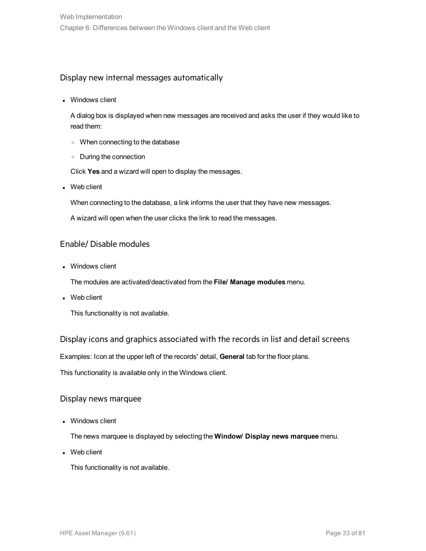#### Display new internal messages automatically

• Windows client

A dialog box is displayed when new messages are received and asks the user if they would like to read them:

- <sup>o</sup> When connecting to the database
- <sup>o</sup> During the connection

Click **Yes** and a wizard will open to display the messages.

• Web client

When connecting to the database, a link informs the user that they have new messages.

A wizard will open when the user clicks the link to read the messages.

#### Enable/ Disable modules

• Windows client

The modules are activated/deactivated from the **File/ Manage modules** menu.

• Web client

This functionality is not available.

Display icons and graphics associated with the records in list and detail screens

Examples: Icon at the upper left of the records' detail, **General** tab for the floor plans.

This functionality is available only in the Windows client.

#### Display news marquee

• Windows client

The news marquee is displayed by selecting the **Window/ Display news marquee** menu.

• Web client

This functionality is not available.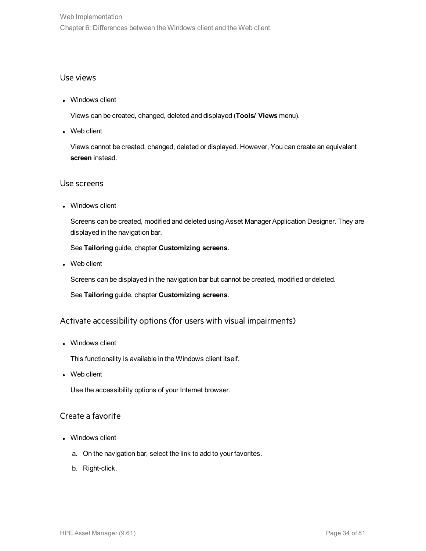Web Implementation Chapter 6: Differences between the Windows client and the Web client

### Use views

• Windows client

Views can be created, changed, deleted and displayed (**Tools/ Views** menu).

 $\bullet$  Web client

Views cannot be created, changed, deleted or displayed. However, You can create an equivalent **screen** instead.

#### Use screens

• Windows client

Screens can be created, modified and deleted using Asset Manager Application Designer. They are displayed in the navigation bar.

See **Tailoring** guide, chapter **Customizing screens**.

• Web client

Screens can be displayed in the navigation bar but cannot be created, modified or deleted.

See **Tailoring** guide, chapter **Customizing screens**.

#### Activate accessibility options(for users with visual impairments)

• Windows client

This functionality is available in the Windows client itself.

• Web client

Use the accessibility options of your Internet browser.

#### Create a favorite

- Windows client
	- a. On the navigation bar, select the link to add to your favorites.
	- b. Right-click.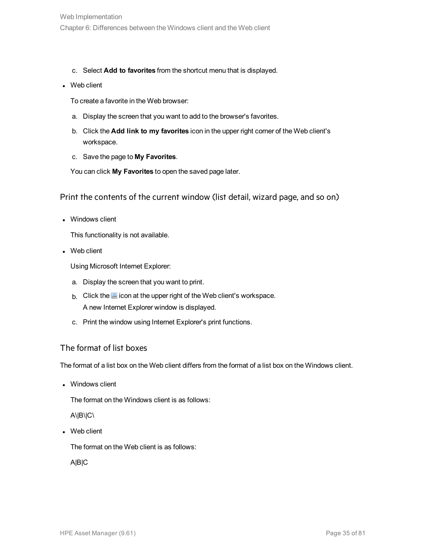- c. Select **Add to favorites** from the shortcut menu that is displayed.
- Web client

To create a favorite in the Web browser:

- a. Display the screen that you want to add to the browser's favorites.
- b. Click the **Add link to my favorites** icon in the upper right corner of the Web client's workspace.
- c. Save the page to **My Favorites**.

You can click **My Favorites** to open the saved page later.

Print the contents of the current window (list detail, wizard page, and so on)

• Windows client

This functionality is not available.

• Web client

Using Microsoft Internet Explorer:

- a. Display the screen that you want to print.
- b. Click the  $\blacksquare$  icon at the upper right of the Web client's workspace. A new Internet Explorer window is displayed.
- c. Print the window using Internet Explorer's print functions.

#### The format of list boxes

The format of a list box on the Web client differs from the format of a list box on the Windows client.

• Windows client

The format on the Windows client is as follows:

 $A\|B\|C\|$ 

 $\bullet$  Web client

The format on the Web client is as follows:

A|B|C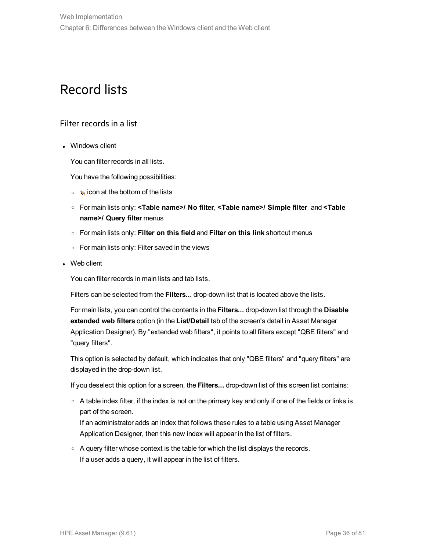### <span id="page-35-0"></span>Record lists

### Filter records in a list

• Windows client

You can filter records in all lists.

You have the following possibilities:

- $\circ$   $\bullet$  icon at the bottom of the lists
- <sup>o</sup> For main lists only: **<Table name>/ No filter**, **<Table name>/ Simple filter** and **<Table name>/ Query filter** menus
- <sup>o</sup> For main lists only: **Filter on this field** and **Filter on this link** shortcut menus
- <sup>o</sup> For main lists only: Filter saved in the views
- Web client

You can filter records in main lists and tab lists.

Filters can be selected from the **Filters...** drop-down list that is located above the lists.

For main lists, you can control the contents in the **Filters...** drop-down list through the **Disable extended web filters** option (in the **List/Detail** tab of the screen's detail in Asset Manager Application Designer). By "extended web filters", it points to all filters except "QBE filters" and "query filters".

This option is selected by default, which indicates that only "QBE filters" and "query filters" are displayed in the drop-down list.

If you deselect this option for a screen, the **Filters...** drop-down list of this screen list contains:

 $\circ$  A table index filter, if the index is not on the primary key and only if one of the fields or links is part of the screen.

If an administrator adds an index that follows these rules to a table using Asset Manager Application Designer, then this new index will appear in the list of filters.

 $\circ$  A query filter whose context is the table for which the list displays the records. If a user adds a query, it will appear in the list of filters.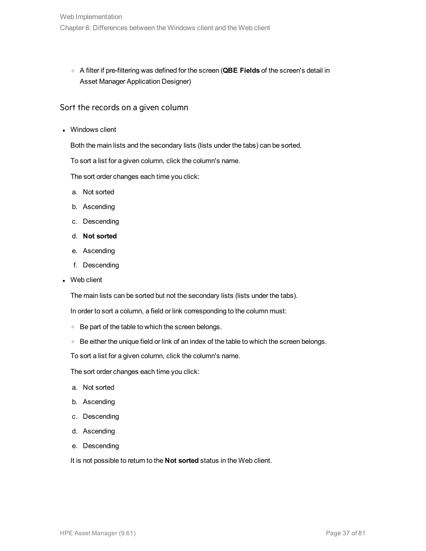<sup>o</sup> A filter if pre-filtering was defined for the screen (**QBE Fields** of the screen's detail in Asset Manager Application Designer)

#### Sort the records on a given column

• Windows client

Both the main lists and the secondary lists (lists under the tabs) can be sorted.

To sort a list for a given column, click the column's name.

The sort order changes each time you click:

- a. Not sorted
- b. Ascending
- c. Descending
- d. **Not sorted**
- e. Ascending
- f. Descending
- Web client

The main lists can be sorted but not the secondary lists (lists under the tabs).

In order to sort a column, a field or link corresponding to the column must:

- Be part of the table to which the screen belongs.
- Be either the unique field or link of an index of the table to which the screen belongs.

To sort a list for a given column, click the column's name.

The sort order changes each time you click:

- a. Not sorted
- b. Ascending
- c. Descending
- d. Ascending
- e. Descending

It is not possible to return to the **Not sorted** status in the Web client.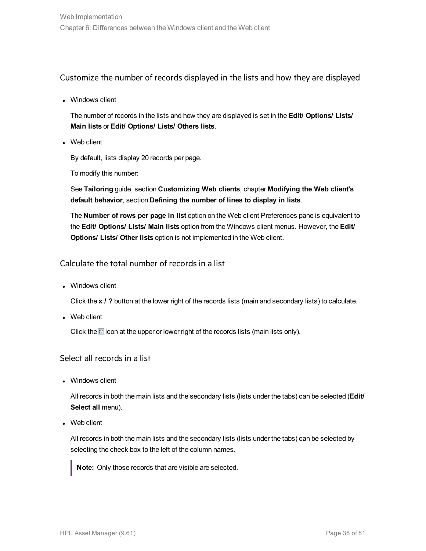### Customize the number of records displayed in the lists and how they are displayed

• Windows client

The number of records in the lists and how they are displayed is set in the **Edit/ Options/ Lists/ Main lists** or **Edit/ Options/ Lists/ Others lists**.

• Web client

By default, lists display 20 records per page.

To modify this number:

See **Tailoring** guide, section **Customizing Web clients**, chapter **Modifying the Web client's default behavior**, section **Defining the number of lines to display in lists**.

The **Number of rows per page in list** option on the Web client Preferences pane is equivalent to the **Edit/ Options/ Lists/ Main lists** option from the Windows client menus. However, the **Edit/ Options/ Lists/ Other lists** option is not implemented in the Web client.

#### Calculate the total number of recordsin a list

• Windows client

Click the **x / ?** button at the lower right of the records lists (main and secondary lists) to calculate.

• Web client

Click the  $\overline{z}$  icon at the upper or lower right of the records lists (main lists only).

#### Select all records in a list

. Windows client

All records in both the main lists and the secondary lists (lists under the tabs) can be selected (**Edit/ Select all** menu).

 $\bullet$  Web client

All records in both the main lists and the secondary lists (lists under the tabs) can be selected by selecting the check box to the left of the column names.

**Note:** Only those records that are visible are selected.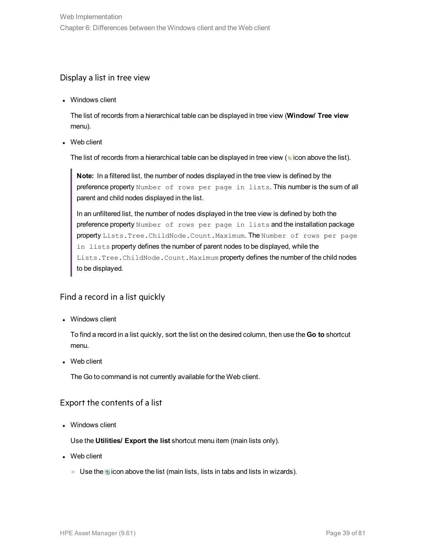### Display a list in tree view

• Windows client

The list of records from a hierarchical table can be displayed in tree view (**Window/ Tree view** menu).

• Web client

The list of records from a hierarchical table can be displayed in tree view  $($  $\cdot$  $\cdot$  $\cdot$  $\cdot$  icon above the list).

**Note:** In a filtered list, the number of nodes displayed in the tree view is defined by the preference property Number of rows per page in lists. This number is the sum of all parent and child nodes displayed in the list.

In an unfiltered list, the number of nodes displayed in the tree view is defined by both the preference property Number of rows per page in lists and the installation package property Lists.Tree.ChildNode.Count.Maximum. The Number of rows per page in lists property defines the number of parent nodes to be displayed, while the Lists.Tree.ChildNode.Count.Maximum property defines the number of the child nodes to be displayed.

### Find a record in a list quickly

• Windows client

To find a record in a list quickly, sort the list on the desired column, then use the **Go to** shortcut menu.

• Web client

The Go to command is not currently available for the Web client.

### Export the contents of a list

• Windows client

Use the **Utilities/ Export the list** shortcut menu item (main lists only).

- Web client
	- $\circ$  Use the **i** icon above the list (main lists, lists in tabs and lists in wizards).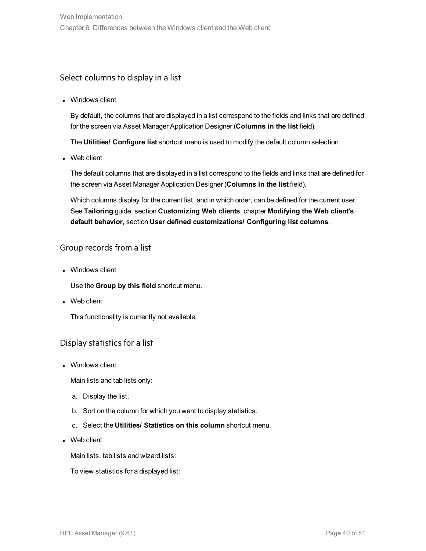#### Select columns to display in a list

• Windows client

By default, the columns that are displayed in a list correspond to the fields and links that are defined for the screen via Asset Manager Application Designer (**Columns in the list** field).

The **Utilities/ Configure list** shortcut menu is used to modify the default column selection.

• Web client

The default columns that are displayed in a list correspond to the fields and links that are defined for the screen via Asset Manager Application Designer (**Columns in the list** field).

Which columns display for the current list, and in which order, can be defined for the current user. See **Tailoring** guide, section **Customizing Web clients**, chapter **Modifying the Web client's default behavior**, section **User defined customizations/ Configuring list columns**.

#### Group records from a list

• Windows client

Use the **Group by this field** shortcut menu.

• Web client

This functionality is currently not available.

#### Display statistics for a list

• Windows client

Main lists and tab lists only:

- a. Display the list.
- b. Sort on the column for which you want to display statistics.
- c. Select the **Utilities/ Statistics on this column** shortcut menu.
- Web client

Main lists, tab lists and wizard lists:

To view statistics for a displayed list: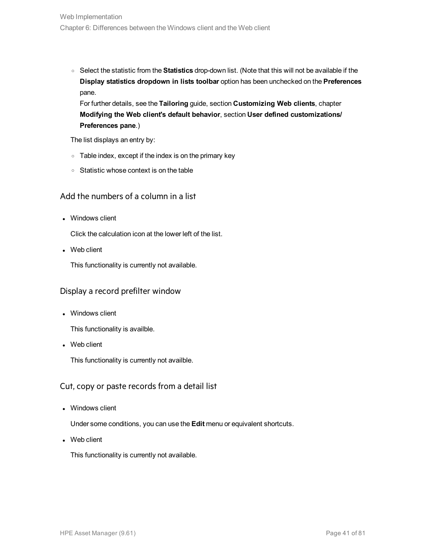<sup>o</sup> Select the statistic from the **Statistics** drop-down list. (Note that this will not be available if the **Display statistics dropdown in lists toolbar** option has been unchecked on the **Preferences** pane.

For further details, see the **Tailoring** guide, section **Customizing Web clients**, chapter **Modifying the Web client's default behavior**, section **User defined customizations/ Preferences pane**.)

The list displays an entry by:

- $\circ$  Table index, except if the index is on the primary key
- <sup>o</sup> Statistic whose context is on the table

#### Add the numbers of a column in a list

• Windows client

Click the calculation icon at the lower left of the list.

• Web client

This functionality is currently not available.

#### Display a record prefilter window

• Windows client

This functionality is availble.

• Web client

This functionality is currently not availble.

#### Cut, copy or paste records from a detail list

• Windows client

Under some conditions, you can use the **Edit** menu or equivalent shortcuts.

• Web client

This functionality is currently not available.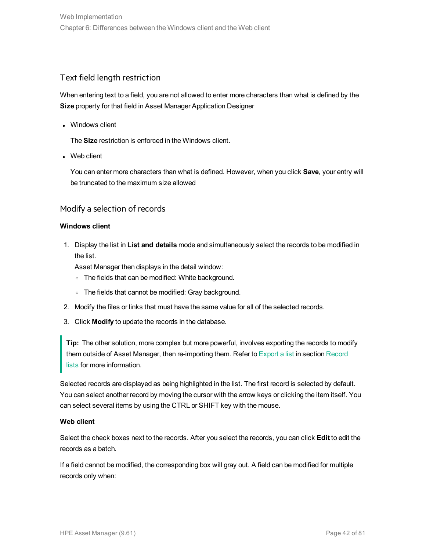### Text field length restriction

When entering text to a field, you are not allowed to enter more characters than what is defined by the **Size** property for that field in Asset Manager Application Designer

• Windows client

The **Size** restriction is enforced in the Windows client.

• Web client

You can enter more characters than what is defined. However, when you click **Save**, your entry will be truncated to the maximum size allowed

#### Modify a selection of records

#### **Windows client**

1. Display the list in **List and details** mode and simultaneously select the records to be modified in the list.

Asset Manager then displays in the detail window:

- The fields that can be modified: White background.
- The fields that cannot be modified: Gray background.
- 2. Modify the files or links that must have the same value for all of the selected records.
- 3. Click **Modify** to update the records in the database.

**Tip:** The other solution, more complex but more powerful, involves exporting the records to modify them outside of Asset Manager, then re-importing them. Refer to Export a list in section Record lists for more information.

Selected records are displayed as being highlighted in the list. The first record is selected by default. You can select another record by moving the cursor with the arrow keys or clicking the item itself. You can select several items by using the CTRL or SHIFT key with the mouse.

#### **Web client**

Select the check boxes next to the records. After you select the records, you can click **Edit** to edit the records as a batch.

If a field cannot be modified, the corresponding box will gray out. A field can be modified for multiple records only when: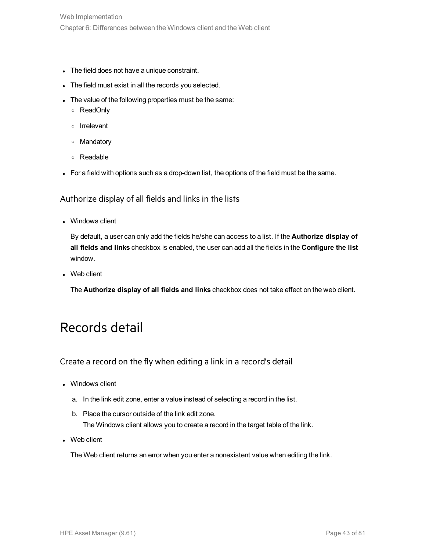- The field does not have a unique constraint.
- The field must exist in all the records you selected.
- The value of the following properties must be the same:
	- <sup>o</sup> ReadOnly
	- <sup>o</sup> Irrelevant
	- <sup>o</sup> Mandatory
	- <sup>o</sup> Readable
- For a field with options such as a drop-down list, the options of the field must be the same.

#### Authorize display of all fields and links in the lists

• Windows client

By default, a user can only add the fields he/she can access to a list. If the **Authorize display of all fields and links** checkbox is enabled, the user can add all the fields in the **Configure the list** window.

• Web client

The **Authorize display of all fields and links** checkbox does not take effect on the web client.

## Records detail

Create a record on the fly when editing a link in a record's detail

- Windows client
	- a. In the link edit zone, enter a value instead of selecting a record in the list.
	- b. Place the cursor outside of the link edit zone. The Windows client allows you to create a record in the target table of the link.
- Web client

The Web client returns an error when you enter a nonexistent value when editing the link.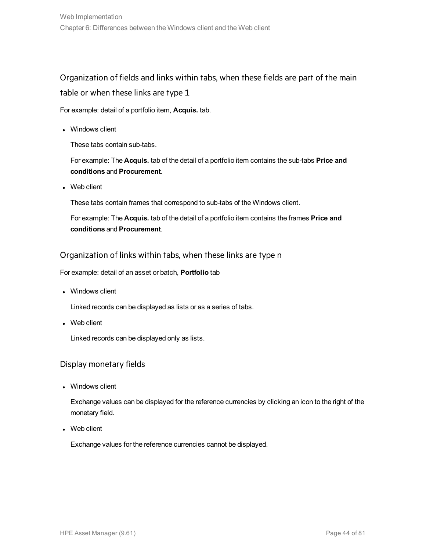Organization of fields and links within tabs, when these fields are part of the main table or when these links are type 1

For example: detail of a portfolio item, **Acquis.** tab.

• Windows client

These tabs contain sub-tabs.

For example: The **Acquis.** tab of the detail of a portfolio item contains the sub-tabs **Price and conditions** and **Procurement**.

• Web client

These tabs contain frames that correspond to sub-tabs of the Windows client.

For example: The **Acquis.** tab of the detail of a portfolio item contains the frames **Price and conditions** and **Procurement**.

#### Organization of links within tabs, when these links are type n

For example: detail of an asset or batch, **Portfolio** tab

• Windows client

Linked records can be displayed as lists or as a series of tabs.

 $\bullet$  Web client

Linked records can be displayed only as lists.

#### Display monetary fields

• Windows client

Exchange values can be displayed for the reference currencies by clicking an icon to the right of the monetary field.

• Web client

Exchange values for the reference currencies cannot be displayed.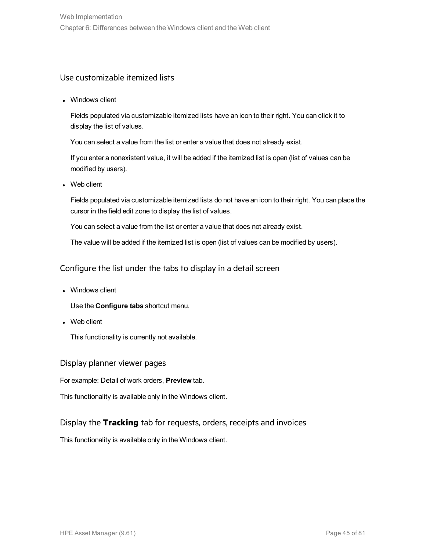### Use customizable itemized lists

• Windows client

Fields populated via customizable itemized lists have an icon to their right. You can click it to display the list of values.

You can select a value from the list or enter a value that does not already exist.

If you enter a nonexistent value, it will be added if the itemized list is open (list of values can be modified by users).

• Web client

Fields populated via customizable itemized lists do not have an icon to their right. You can place the cursor in the field edit zone to display the list of values.

You can select a value from the list or enter a value that does not already exist.

The value will be added if the itemized list is open (list of values can be modified by users).

#### Configure the list under the tabs to display in a detail screen

• Windows client

Use the **Configure tabs** shortcut menu.

 $\bullet$  Web client

This functionality is currently not available.

#### Display planner viewer pages

For example: Detail of work orders, **Preview** tab.

This functionality is available only in the Windows client.

### Display the **Tracking** tab for requests, orders, receipts and invoices

This functionality is available only in the Windows client.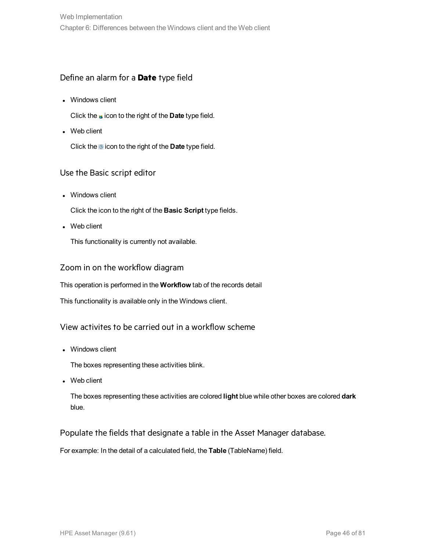### Define an alarm for a **Date** type field

• Windows client

Click the icon to the right of the **Date** type field.

 $\bullet$  Web client

Click the **c** icon to the right of the **Date** type field.

#### Use the Basic script editor

• Windows client

Click the icon to the right of the **Basic Script** type fields.

• Web client

This functionality is currently not available.

#### Zoom in on the workflow diagram

This operation is performed in the **Workflow** tab of the records detail

This functionality is available only in the Windows client.

#### View activites to be carried out in a workflow scheme

• Windows client

The boxes representing these activities blink.

 $\bullet$  Web client

The boxes representing these activities are colored **light** blue while other boxes are colored **dark** blue.

#### Populate the fields that designate a table in the Asset Manager database.

For example: In the detail of a calculated field, the **Table** (TableName) field.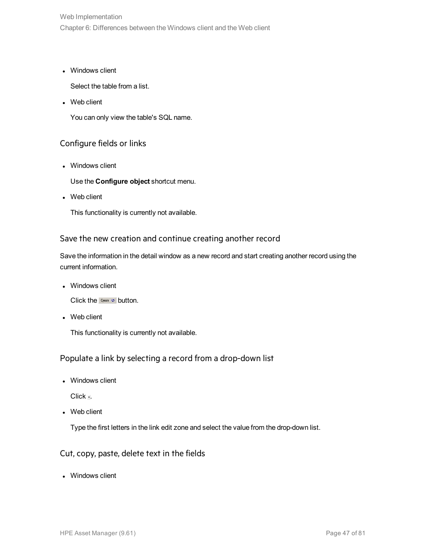Web Implementation

Chapter 6: Differences between the Windows client and the Web client

• Windows client

Select the table from a list.

• Web client

You can only view the table's SQL name.

#### Configure fields or links

• Windows client

Use the **Configure object** shortcut menu.

 $\bullet$  Web client

This functionality is currently not available.

#### Save the new creation and continue creating another record

Save the information in the detail window as a new record and start creating another record using the current information.

• Windows client

Click the  $C_1$ <sub>Create</sub>  $\infty$  button.

• Web client

This functionality is currently not available.

### Populate a link by selecting a record from a drop-down list

. Windows client

Click ...

• Web client

Type the first letters in the link edit zone and select the value from the drop-down list.

#### Cut, copy, paste, delete text in the fields

• Windows client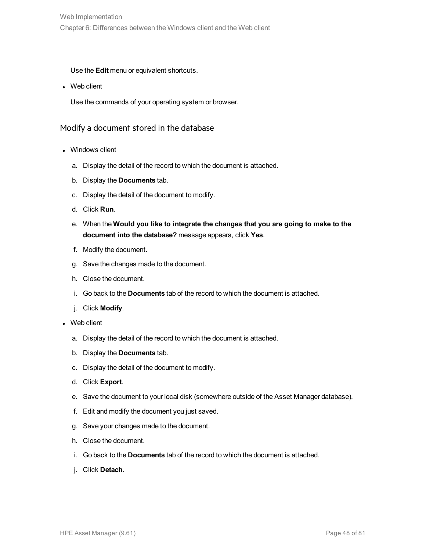Web Implementation

Chapter 6: Differences between the Windows client and the Web client

Use the **Edit** menu or equivalent shortcuts.

• Web client

Use the commands of your operating system or browser.

#### Modify a document stored in the database

- Windows client
	- a. Display the detail of the record to which the document is attached.
	- b. Display the **Documents** tab.
	- c. Display the detail of the document to modify.
	- d. Click **Run**.
	- e. When the **Would you like to integrate the changes that you are going to make to the document into the database?** message appears, click **Yes**.
	- f. Modify the document.
	- g. Save the changes made to the document.
	- h. Close the document.
	- i. Go back to the **Documents** tab of the record to which the document is attached.
	- j. Click **Modify**.
- Web client
	- a. Display the detail of the record to which the document is attached.
	- b. Display the **Documents** tab.
	- c. Display the detail of the document to modify.
	- d. Click **Export**.
	- e. Save the document to your local disk (somewhere outside of the Asset Manager database).
	- f. Edit and modify the document you just saved.
	- g. Save your changes made to the document.
	- h. Close the document.
	- i. Go back to the **Documents** tab of the record to which the document is attached.
	- j. Click **Detach**.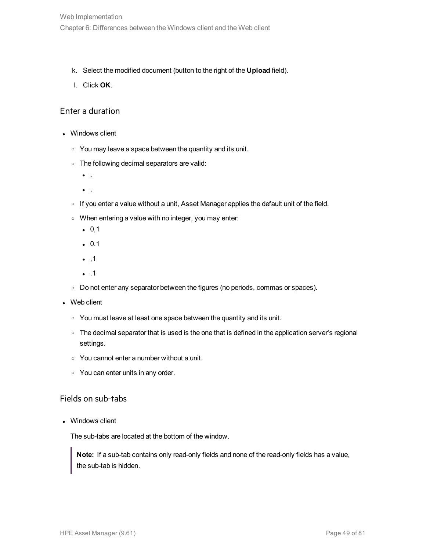- k. Select the modified document (button to the right of the **Upload** field).
- l. Click **OK**.

#### Enter a duration

- Windows client
	- $\circ$  You may leave a space between the quantity and its unit.
	- The following decimal separators are valid:
		- $\bullet$  .
		- $\bullet$
	- o If you enter a value without a unit, Asset Manager applies the default unit of the field.
	- <sup>o</sup> When entering a value with no integer, you may enter:
		- $.0,1$
		- $.0.1$
		- $\bullet$  ,1
		- $\cdot$  .1
	- o Do not enter any separator between the figures (no periods, commas or spaces).
- Web client
	- $\circ$  You must leave at least one space between the quantity and its unit.
	- o The decimal separator that is used is the one that is defined in the application server's regional settings.
	- <sup>o</sup> You cannot enter a number without a unit.
	- You can enter units in any order.

#### Fields on sub-tabs

• Windows client

The sub-tabs are located at the bottom of the window.

**Note:** If a sub-tab contains only read-only fields and none of the read-only fields has a value, the sub-tab is hidden.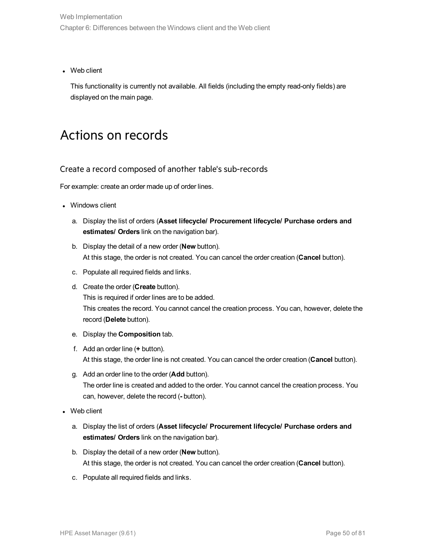$\bullet$  Web client

This functionality is currently not available. All fields (including the empty read-only fields) are displayed on the main page.

## Actions on records

Create a record composed of another table's sub-records

For example: create an order made up of order lines.

- Windows client
	- a. Display the list of orders (**Asset lifecycle/ Procurement lifecycle/ Purchase orders and estimates/ Orders** link on the navigation bar).
	- b. Display the detail of a new order (**New** button). At this stage, the order is not created. You can cancel the order creation (**Cancel** button).
	- c. Populate all required fields and links.
	- d. Create the order (**Create** button). This is required if order lines are to be added. This creates the record. You cannot cancel the creation process. You can, however, delete the record (**Delete** button).
	- e. Display the **Composition** tab.
	- f. Add an order line (**+** button). At this stage, the order line is not created. You can cancel the order creation (**Cancel** button).
	- g. Add an order line to the order (**Add** button). The order line is created and added to the order. You cannot cancel the creation process. You can, however, delete the record (**-** button).
- Web client
	- a. Display the list of orders (**Asset lifecycle/ Procurement lifecycle/ Purchase orders and estimates/ Orders** link on the navigation bar).
	- b. Display the detail of a new order (**New** button). At this stage, the order is not created. You can cancel the order creation (**Cancel** button).
	- c. Populate all required fields and links.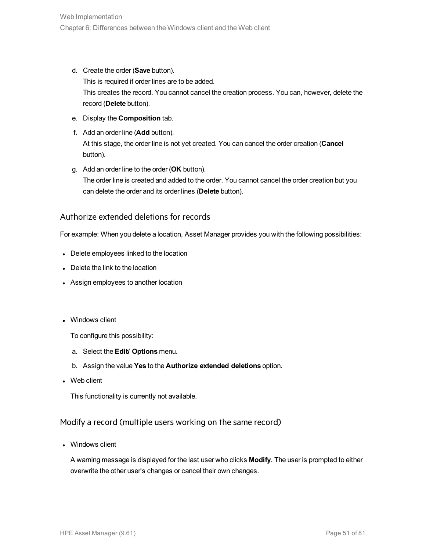d. Create the order (**Save** button).

This is required if order lines are to be added.

This creates the record. You cannot cancel the creation process. You can, however, delete the record (**Delete** button).

- e. Display the **Composition** tab.
- f. Add an order line (**Add** button). At this stage, the order line is not yet created. You can cancel the order creation (**Cancel** button).
- g. Add an order line to the order (**OK** button). The order line is created and added to the order. You cannot cancel the order creation but you can delete the order and its order lines (**Delete** button).

### Authorize extended deletions for records

For example: When you delete a location, Asset Manager provides you with the following possibilities:

- Delete employees linked to the location
- Delete the link to the location
- Assign employees to another location
- Windows client

To configure this possibility:

- a. Select the **Edit/ Options** menu.
- b. Assign the value **Yes** to the **Authorize extended deletions** option.
- $\bullet$  Web client

This functionality is currently not available.

### Modify a record (multiple users working on the same record)

• Windows client

A warning message is displayed for the last user who clicks **Modify**. The user is prompted to either overwrite the other user's changes or cancel their own changes.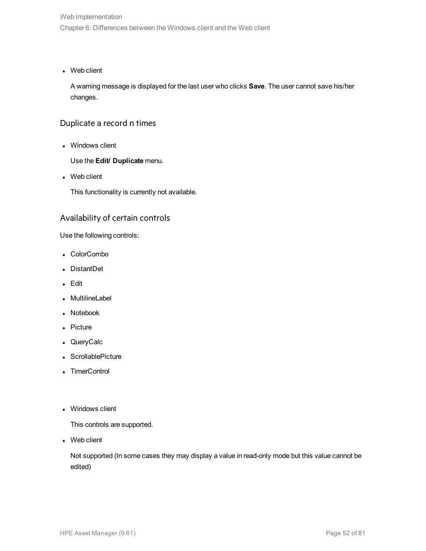Web Implementation Chapter 6: Differences between the Windows client and the Web client

• Web client

A warning message is displayed for the last user who clicks **Save**. The user cannot save his/her changes.

#### Duplicate a record n times

• Windows client

Use the **Edit/ Duplicate** menu.

• Web client

This functionality is currently not available.

#### Availability of certain controls

Use the following controls:

- ColorCombo
- DistantDet
- Edit
- MultilineLabel
- Notebook
- Picture
- QueryCalc
- ScrollablePicture
- TimerControl
- Windows client

This controls are supported.

• Web client

Not supported (In some cases they may display a value in read-only mode but this value cannot be edited)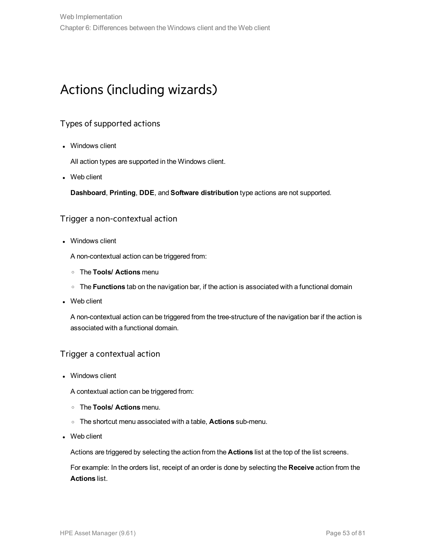# Actions (including wizards)

## Types of supported actions

• Windows client

All action types are supported in the Windows client.

 $\bullet$  Web client

**Dashboard**, **Printing**, **DDE**, and **Software distribution** type actions are not supported.

### Trigger a non-contextual action

• Windows client

A non-contextual action can be triggered from:

- <sup>o</sup> The **Tools/ Actions** menu
- <sup>o</sup> The **Functions** tab on the navigation bar, if the action is associated with a functional domain
- Web client

A non-contextual action can be triggered from the tree-structure of the navigation bar if the action is associated with a functional domain.

#### Trigger a contextual action

• Windows client

A contextual action can be triggered from:

- <sup>o</sup> The **Tools/ Actions** menu.
- <sup>o</sup> The shortcut menu associated with a table, **Actions** sub-menu.
- Web client

Actions are triggered by selecting the action from the **Actions** list at the top of the list screens.

For example: In the orders list, receipt of an order is done by selecting the **Receive** action from the **Actions** list.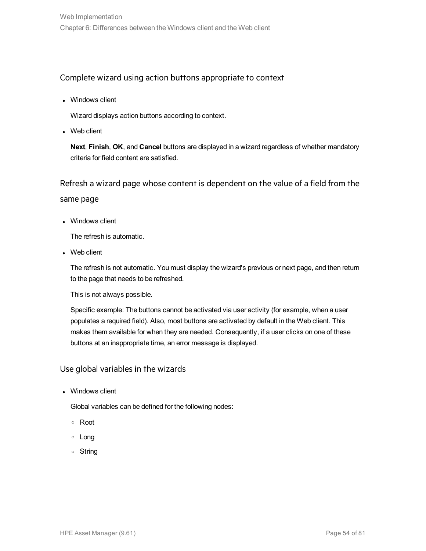### Complete wizard using action buttons appropriate to context

• Windows client

Wizard displays action buttons according to context.

 $\bullet$  Web client

**Next**, **Finish**, **OK**, and **Cancel** buttons are displayed in a wizard regardless of whether mandatory criteria for field content are satisfied.

Refresh a wizard page whose content is dependent on the value of a field from the same page

• Windows client

The refresh is automatic.

• Web client

The refresh is not automatic. You must display the wizard's previous or next page, and then return to the page that needs to be refreshed.

This is not always possible.

Specific example: The buttons cannot be activated via user activity (for example, when a user populates a required field). Also, most buttons are activated by default in the Web client. This makes them available for when they are needed. Consequently, if a user clicks on one of these buttons at an inappropriate time, an error message is displayed.

### Use global variables in the wizards

• Windows client

Global variables can be defined for the following nodes:

- <sup>o</sup> Root
- <sup>o</sup> Long
- <sup>o</sup> String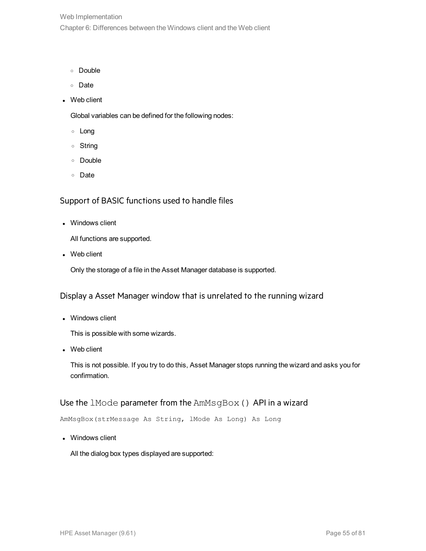Web Implementation

Chapter 6: Differences between the Windows client and the Web client

- <sup>o</sup> Double
- <sup>o</sup> Date
- Web client

Global variables can be defined for the following nodes:

- <sup>o</sup> Long
- <sup>o</sup> String
- <sup>o</sup> Double
- <sup>o</sup> Date

#### Support of BASIC functions used to handle files

• Windows client

All functions are supported.

. Web client

Only the storage of a file in the Asset Manager database is supported.

#### Display a Asset Manager window that is unrelated to the running wizard

• Windows client

This is possible with some wizards.

• Web client

This is not possible. If you try to do this, Asset Manager stops running the wizard and asks you for confirmation.

#### Use the lMode parameter from the AmMsgBox () API in a wizard

AmMsgBox(strMessage As String, lMode As Long) As Long

• Windows client

All the dialog box types displayed are supported: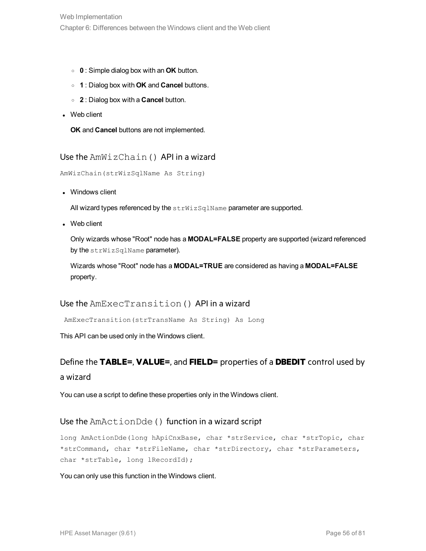Web Implementation Chapter 6: Differences between the Windows client and the Web client

- <sup>o</sup> **0** : Simple dialog box with an **OK** button.
- <sup>o</sup> **1** : Dialog box with **OK** and **Cancel** buttons.
- <sup>o</sup> **2** : Dialog box with a **Cancel** button.
- Web client

**OK** and **Cancel** buttons are not implemented.

Use the AmWizChain () API in a wizard

AmWizChain(strWizSqlName As String)

• Windows client

All wizard types referenced by the strWizSqlName parameter are supported.

• Web client

Only wizards whose "Root" node has a **MODAL=FALSE** property are supported (wizard referenced by the strWizSqlName parameter).

Wizards whose "Root" node has a **MODAL=TRUE** are considered as having a **MODAL=FALSE** property.

Use the AmExecTransition() API in a wizard

AmExecTransition(strTransName As String) As Long

This API can be used only in the Windows client.

## Define the **TABLE=**, **VALUE=**, and **FIELD=** properties of a **DBEDIT** control used by

#### a wizard

You can use a script to define these properties only in the Windows client.

#### Use the AmActionDde() function in a wizard script

long AmActionDde(long hApiCnxBase, char \*strService, char \*strTopic, char \*strCommand, char \*strFileName, char \*strDirectory, char \*strParameters, char \*strTable, long lRecordId);

#### You can only use this function in the Windows client.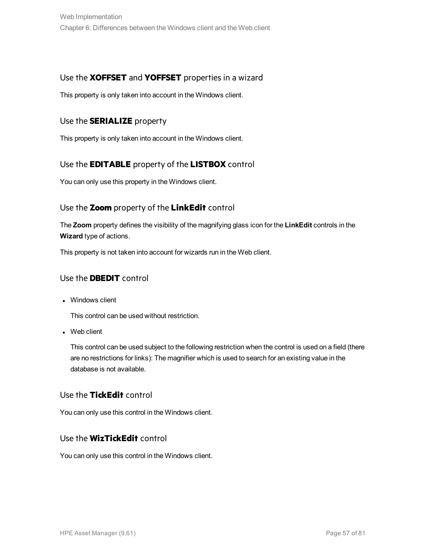## Use the **XOFFSET** and **YOFFSET** propertiesin a wizard

This property is only taken into account in the Windows client.

#### Use the **SERIALIZE** property

This property is only taken into account in the Windows client.

### Use the **EDITABLE** property of the **LISTBOX** control

You can only use this property in the Windows client.

### Use the **Zoom** property of the **LinkEdit** control

The **Zoom** property defines the visibility of the magnifying glass icon for the **LinkEdit** controls in the **Wizard** type of actions.

This property is not taken into account for wizards run in the Web client.

#### Use the **DBEDIT** control

. Windows client

This control can be used without restriction.

• Web client

This control can be used subject to the following restriction when the control is used on a field (there are no restrictions for links): The magnifier which is used to search for an existing value in the database is not available.

### Use the **TickEdit** control

You can only use this control in the Windows client.

#### Use the **WizTickEdit** control

You can only use this control in the Windows client.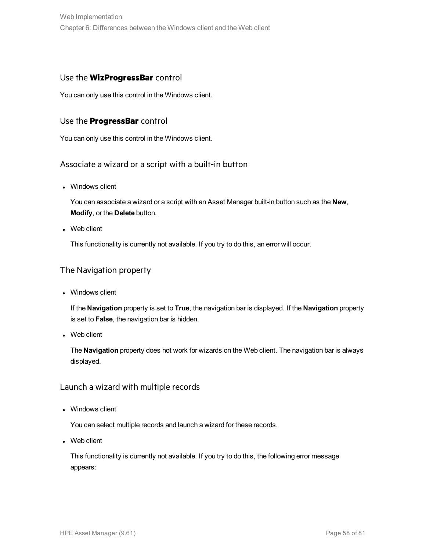#### Use the **WizProgressBar** control

You can only use this control in the Windows client.

#### Use the **ProgressBar** control

You can only use this control in the Windows client.

#### Associate a wizard or a script with a built-in button

• Windows client

You can associate a wizard or a script with an Asset Manager built-in button such as the **New**, **Modify**, or the **Delete** button.

• Web client

This functionality is currently not available. If you try to do this, an error will occur.

#### The Navigation property

. Windows client

If the **Navigation** property is set to **True**, the navigation bar is displayed. If the **Navigation** property is set to **False**, the navigation bar is hidden.

 $\bullet$  Web client

The **Navigation** property does not work for wizards on the Web client. The navigation bar is always displayed.

#### Launch a wizard with multiple records

• Windows client

You can select multiple records and launch a wizard for these records.

• Web client

This functionality is currently not available. If you try to do this, the following error message appears: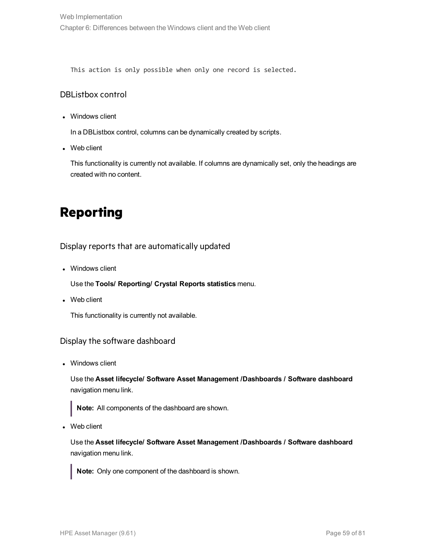This action is only possible when only one record is selected.

#### DBListbox control

• Windows client

In a DBListbox control, columns can be dynamically created by scripts.

• Web client

This functionality is currently not available. If columns are dynamically set, only the headings are created with no content.

# **Reporting**

#### Display reports that are automatically updated

• Windows client

Use the **Tools/ Reporting/ Crystal Reports statistics** menu.

• Web client

This functionality is currently not available.

### Display the software dashboard

• Windows client

Use the **Asset lifecycle/ Software Asset Management /Dashboards / Software dashboard** navigation menu link.

**Note:** All components of the dashboard are shown.

• Web client

Use the **Asset lifecycle/ Software Asset Management /Dashboards / Software dashboard** navigation menu link.

**Note:** Only one component of the dashboard is shown.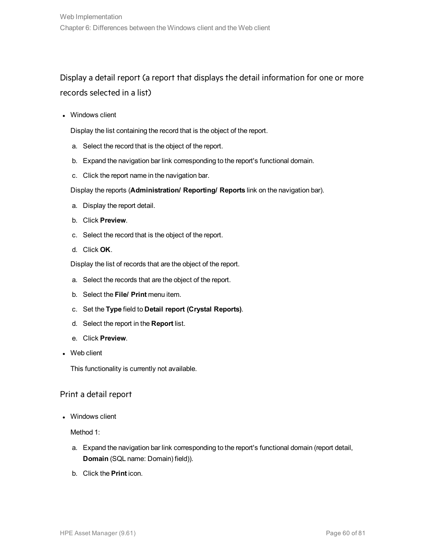## Display a detail report (a report that displays the detail information for one or more records selected in a list)

• Windows client

Display the list containing the record that is the object of the report.

- a. Select the record that is the object of the report.
- b. Expand the navigation bar link corresponding to the report's functional domain.
- c. Click the report name in the navigation bar.

#### Display the reports (**Administration/ Reporting/ Reports** link on the navigation bar).

- a. Display the report detail.
- b. Click **Preview**.
- c. Select the record that is the object of the report.
- d. Click **OK**.

Display the list of records that are the object of the report.

- a. Select the records that are the object of the report.
- b. Select the **File/ Print** menu item.
- c. Set the **Type** field to **Detail report (Crystal Reports)**.
- d. Select the report in the **Report** list.
- e. Click **Preview**.
- Web client

This functionality is currently not available.

#### Print a detail report

• Windows client

Method 1:

- a. Expand the navigation bar link corresponding to the report's functional domain (report detail, **Domain** (SQL name: Domain) field)).
- b. Click the **Print** icon.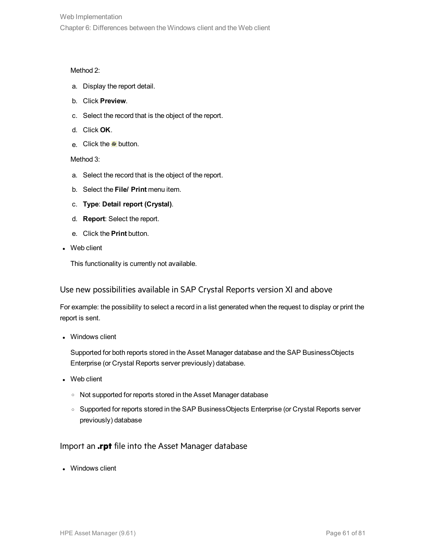#### Method 2:

- a. Display the report detail.
- b. Click **Preview**.
- c. Select the record that is the object of the report.
- d. Click **OK**.
- e. Click the  $\triangleq$  button.

#### Method 3:

- a. Select the record that is the object of the report.
- b. Select the **File/ Print** menu item.
- c. **Type**: **Detail report (Crystal)**.
- d. **Report**: Select the report.
- e. Click the **Print** button.
- Web client

This functionality is currently not available.

#### Use new possibilities available in SAP Crystal Reports version XI and above

For example: the possibility to select a record in a list generated when the request to display or print the report is sent.

• Windows client

Supported for both reports stored in the Asset Manager database and the SAP BusinessObjects Enterprise (or Crystal Reports server previously) database.

- Web client
	- o Not supported for reports stored in the Asset Manager database
	- Supported for reports stored in the SAP BusinessObjects Enterprise (or Crystal Reports server previously) database

#### Import an **.rpt** file into the Asset Manager database

• Windows client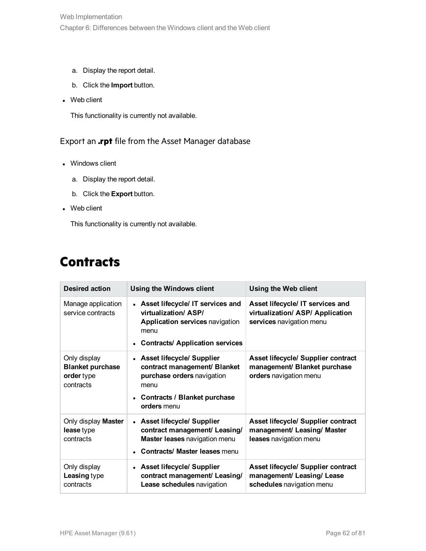- a. Display the report detail.
- b. Click the **Import** button.
- Web client

This functionality is currently not available.

## Export an **.rpt** file from the Asset Manager database

- Windows client
	- a. Display the report detail.
	- b. Click the **Export** button.
- Web client

This functionality is currently not available.

## **Contracts**

| <b>Desired action</b>                                              | <b>Using the Windows client</b>                                                                                                                                           | <b>Using the Web client</b>                                                                          |
|--------------------------------------------------------------------|---------------------------------------------------------------------------------------------------------------------------------------------------------------------------|------------------------------------------------------------------------------------------------------|
| Manage application<br>service contracts                            | • Asset lifecycle/ IT services and<br>virtualization/ ASP/<br>Application services navigation<br>menu<br><b>Contracts/ Application services</b>                           | Asset lifecycle/ IT services and<br>virtualization/ ASP/ Application<br>services navigation menu     |
| Only display<br><b>Blanket purchase</b><br>order type<br>contracts | <b>Asset lifecycle/ Supplier</b><br>contract management/ Blanket<br>purchase orders navigation<br>menu<br><b>Contracts / Blanket purchase</b><br>$\bullet$<br>orders menu | <b>Asset lifecycle/ Supplier contract</b><br>management/ Blanket purchase<br>orders navigation menu  |
| Only display Master<br>lease type<br>contracts                     | • Asset lifecycle/ Supplier<br>contract management/ Leasing/<br><b>Master leases navigation menu</b><br><b>Contracts/ Master leases menu</b>                              | Asset lifecycle/ Supplier contract<br>management/ Leasing/ Master<br>leases navigation menu          |
| Only display<br>Leasing type<br>contracts                          | • Asset lifecycle/ Supplier<br>contract management/ Leasing/<br>Lease schedules navigation                                                                                | <b>Asset lifecycle/ Supplier contract</b><br>management/ Leasing/ Lease<br>schedules navigation menu |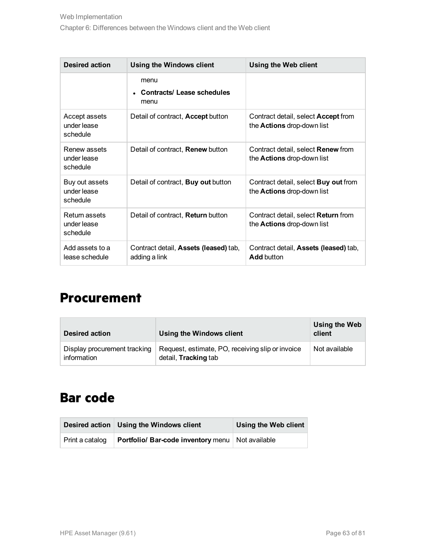| <b>Desired action</b>                     | <b>Using the Windows client</b>                        | <b>Using the Web client</b>                                                     |
|-------------------------------------------|--------------------------------------------------------|---------------------------------------------------------------------------------|
|                                           | menu<br>• Contracts/ Lease schedules<br>menu           |                                                                                 |
| Accept assets<br>under lease<br>schedule  | Detail of contract, <b>Accept</b> button               | Contract detail, select <b>Accept</b> from<br>the <b>Actions</b> drop-down list |
| Renew assets<br>under lease<br>schedule   | Detail of contract, <b>Renew</b> button                | Contract detail, select <b>Renew</b> from<br>the <b>Actions</b> drop-down list  |
| Buy out assets<br>under lease<br>schedule | Detail of contract, <b>Buy out</b> button              | Contract detail, select Buy out from<br>the <b>Actions</b> drop-down list       |
| Return assets<br>under lease<br>schedule  | Detail of contract, Return button                      | Contract detail, select Return from<br>the <b>Actions</b> drop-down list        |
| Add assets to a<br>lease schedule         | Contract detail, Assets (leased) tab,<br>adding a link | Contract detail, Assets (leased) tab,<br><b>Add button</b>                      |

## **Procurement**

| <b>Desired action</b>                       | Using the Windows client                                                        | Using the Web<br>client |
|---------------------------------------------|---------------------------------------------------------------------------------|-------------------------|
| Display procurement tracking<br>information | Request, estimate, PO, receiving slip or invoice<br>detail, <b>Tracking</b> tab | Not available           |

# **Bar code**

|                 | Desired action   Using the Windows client               | <b>Using the Web client</b> |
|-----------------|---------------------------------------------------------|-----------------------------|
| Print a catalog | <b>Portfolio/ Bar-code inventory menu</b> Not available |                             |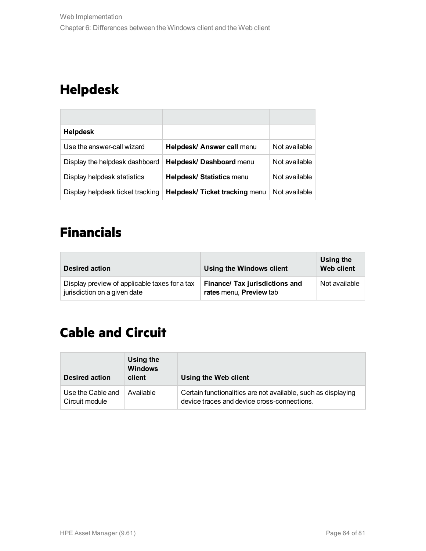# **Helpdesk**

| <b>Helpdesk</b>                  |                                |               |
|----------------------------------|--------------------------------|---------------|
| Use the answer-call wizard       | Helpdesk/ Answer call menu     | Not available |
| Display the helpdesk dashboard   | Helpdesk/ Dashboard menu       | Not available |
| Display helpdesk statistics      | Helpdesk/ Statistics menu      | Not available |
| Display helpdesk ticket tracking | Helpdesk/ Ticket tracking menu | Not available |

# **Financials**

| <b>Desired action</b>                                                         | <b>Using the Windows client</b>                           | Using the<br>Web client |
|-------------------------------------------------------------------------------|-----------------------------------------------------------|-------------------------|
| Display preview of applicable taxes for a tax<br>jurisdiction on a given date | Finance/ Tax jurisdictions and<br>rates menu, Preview tab | Not available           |

# **Cable and Circuit**

| <b>Desired action</b>               | Using the<br><b>Windows</b><br>client | Using the Web client                                                                                         |
|-------------------------------------|---------------------------------------|--------------------------------------------------------------------------------------------------------------|
| Use the Cable and<br>Circuit module | Available                             | Certain functionalities are not available, such as displaying<br>device traces and device cross-connections. |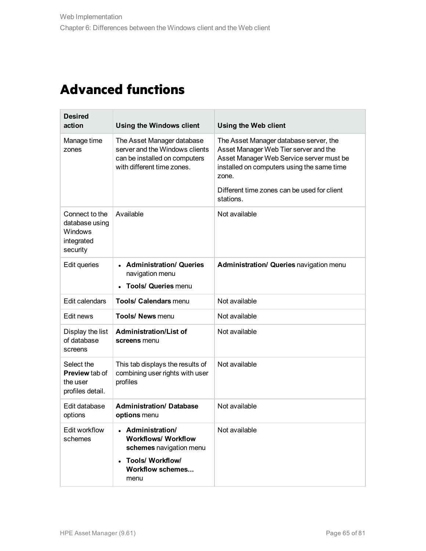# **Advanced functions**

| <b>Desired</b><br>action                                              | <b>Using the Windows client</b>                                                                                                               | <b>Using the Web client</b>                                                                                                                                                                                                                    |
|-----------------------------------------------------------------------|-----------------------------------------------------------------------------------------------------------------------------------------------|------------------------------------------------------------------------------------------------------------------------------------------------------------------------------------------------------------------------------------------------|
| Manage time<br>zones                                                  | The Asset Manager database<br>server and the Windows clients<br>can be installed on computers<br>with different time zones.                   | The Asset Manager database server, the<br>Asset Manager Web Tier server and the<br>Asset Manager Web Service server must be<br>installed on computers using the same time<br>zone.<br>Different time zones can be used for client<br>stations. |
| Connect to the<br>database using<br>Windows<br>integrated<br>security | Available                                                                                                                                     | Not available                                                                                                                                                                                                                                  |
| Edit queries                                                          | <b>Administration/ Queries</b><br>navigation menu<br><b>Tools/ Queries menu</b><br>$\bullet$                                                  | Administration/ Queries navigation menu                                                                                                                                                                                                        |
| Edit calendars                                                        | Tools/ Calendars menu                                                                                                                         | Not available                                                                                                                                                                                                                                  |
| Edit news                                                             | <b>Tools/ News menu</b>                                                                                                                       | Not available                                                                                                                                                                                                                                  |
| Display the list<br>of database<br>screens                            | <b>Administration/List of</b><br>screens menu                                                                                                 | Not available                                                                                                                                                                                                                                  |
| Select the<br><b>Preview tab of</b><br>the user<br>profiles detail.   | This tab displays the results of<br>combining user rights with user<br>profiles                                                               | Not available                                                                                                                                                                                                                                  |
| Edit database<br>options                                              | <b>Administration/ Database</b><br>options menu                                                                                               | Not available                                                                                                                                                                                                                                  |
| Edit workflow<br>schemes                                              | <b>Administration/</b><br><b>Workflows/ Workflow</b><br>schemes navigation menu<br><b>Tools/ Workflow/</b><br><b>Workflow schemes</b><br>menu | Not available                                                                                                                                                                                                                                  |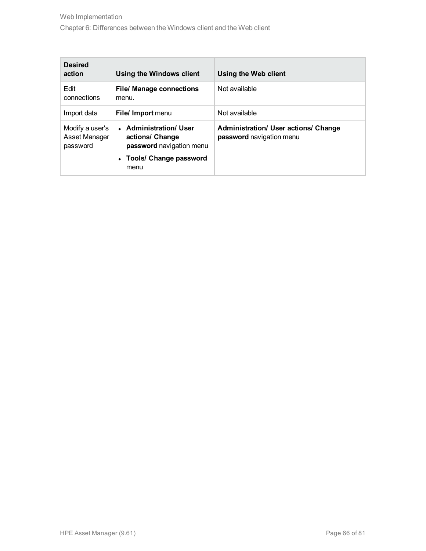Web Implementation Chapter 6: Differences between the Windows client and the Web client

| <b>Desired</b><br>action                     | Using the Windows client                                                                                                    | Using the Web client                                                    |
|----------------------------------------------|-----------------------------------------------------------------------------------------------------------------------------|-------------------------------------------------------------------------|
| Edit<br>connections                          | File/ Manage connections<br>menu.                                                                                           | Not available                                                           |
| Import data                                  | File/ Import menu                                                                                                           | Not available                                                           |
| Modify a user's<br>Asset Manager<br>password | • Administration/ User<br>actions/ Change<br>password navigation menu<br><b>Tools/ Change password</b><br>$\bullet$<br>menu | <b>Administration/ User actions/ Change</b><br>password navigation menu |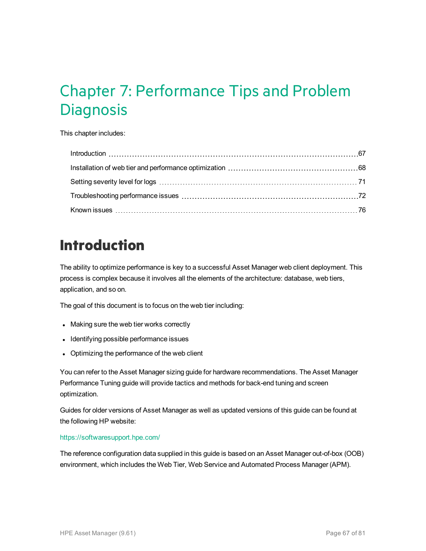# Chapter 7: Performance Tips and Problem **Diagnosis**

This chapter includes:

# <span id="page-66-0"></span>**Introduction**

The ability to optimize performance is key to a successful Asset Manager web client deployment. This process is complex because it involves all the elements of the architecture: database, web tiers, application, and so on.

The goal of this document is to focus on the web tier including:

- Making sure the web tier works correctly
- Identifying possible performance issues
- Optimizing the performance of the web client

You can refer to the Asset Manager sizing guide for hardware recommendations. The Asset Manager Performance Tuning guide will provide tactics and methods for back-end tuning and screen optimization.

Guides for older versions of Asset Manager as well as updated versions of this guide can be found at the following HP website:

#### <https://softwaresupport.hpe.com/>

The reference configuration data supplied in this guide is based on an Asset Manager out-of-box (OOB) environment, which includes the Web Tier, Web Service and Automated Process Manager (APM).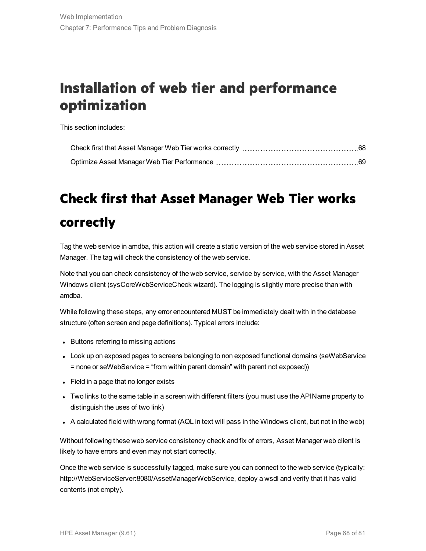# <span id="page-67-0"></span>**Installation of web tier and performance optimization**

This section includes:

<span id="page-67-1"></span>

# **Check first that Asset Manager Web Tier works correctly**

Tag the web service in amdba, this action will create a static version of the web service stored in Asset Manager. The tag will check the consistency of the web service.

Note that you can check consistency of the web service, service by service, with the Asset Manager Windows client (sysCoreWebServiceCheck wizard). The logging is slightly more precise than with amdba.

While following these steps, any error encountered MUST be immediately dealt with in the database structure (often screen and page definitions). Typical errors include:

- Buttons referring to missing actions
- Look up on exposed pages to screens belonging to non exposed functional domains (seWebService = none or seWebService = "from within parent domain" with parent not exposed))
- Field in a page that no longer exists
- Two links to the same table in a screen with different filters (you must use the APIName property to distinguish the uses of two link)
- A calculated field with wrong format (AQL in text will pass in the Windows client, but not in the web)

Without following these web service consistency check and fix of errors, Asset Manager web client is likely to have errors and even may not start correctly.

Once the web service is successfully tagged, make sure you can connect to the web service (typically: http://WebServiceServer:8080/AssetManagerWebService, deploy a wsdl and verify that it has valid contents (not empty).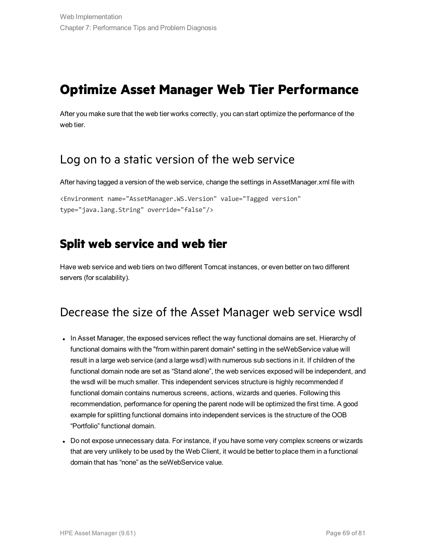# <span id="page-68-0"></span>**Optimize Asset Manager Web Tier Performance**

After you make sure that the web tier works correctly, you can start optimize the performance of the web tier.

## Log on to a static version of the web service

After having tagged a version of the web service, change the settings in AssetManager.xml file with

```
<Environment name="AssetManager.WS.Version" value="Tagged version"
type="java.lang.String" override="false"/>
```
## **Split web service and web tier**

Have web service and web tiers on two different Tomcat instances, or even better on two different servers (for scalability).

## Decrease the size of the Asset Manager web service wsdl

- In Asset Manager, the exposed services reflect the way functional domains are set. Hierarchy of functional domains with the "from within parent domain" setting in the seWebService value will result in a large web service (and a large wsdl) with numerous sub sections in it. If children of the functional domain node are set as "Stand alone", the web services exposed will be independent, and the wsdl will be much smaller. This independent services structure is highly recommended if functional domain contains numerous screens, actions, wizards and queries. Following this recommendation, performance for opening the parent node will be optimized the first time. A good example for splitting functional domains into independent services is the structure of the OOB "Portfolio" functional domain.
- Do not expose unnecessary data. For instance, if you have some very complex screens or wizards that are very unlikely to be used by the Web Client, it would be better to place them in a functional domain that has "none" as the seWebService value.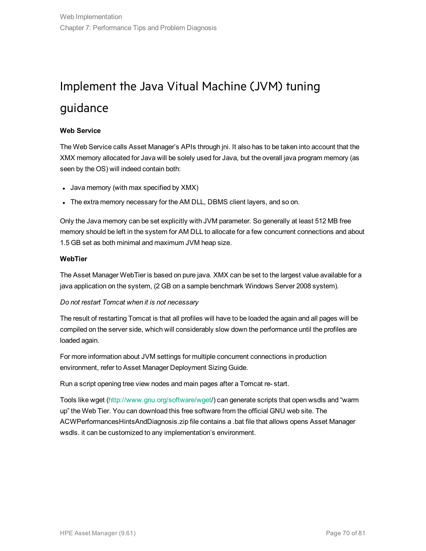# Implement the Java Vitual Machine (JVM) tuning guidance

#### **Web Service**

The Web Service calls Asset Manager's APIs through jni. It also has to be taken into account that the XMX memory allocated for Java will be solely used for Java, but the overall java program memory (as seen by the OS) will indeed contain both:

- Java memory (with max specified by XMX)
- The extra memory necessary for the AM DLL, DBMS client layers, and so on.

Only the Java memory can be set explicitly with JVM parameter. So generally at least 512 MB free memory should be left in the system for AM DLL to allocate for a few concurrent connections and about 1.5 GB set as both minimal and maximum JVM heap size.

#### **WebTier**

The Asset Manager WebTier is based on pure java. XMX can be set to the largest value available for a java application on the system, (2 GB on a sample benchmark Windows Server 2008 system).

#### *Do not restart Tomcat when it is not necessary*

The result of restarting Tomcat is that all profiles will have to be loaded the again and all pages will be compiled on the server side, which will considerably slow down the performance until the profiles are loaded again.

For more information about JVM settings for multiple concurrent connections in production environment, refer to Asset Manager Deployment Sizing Guide.

Run a script opening tree view nodes and main pages after a Tomcat re- start.

Tools like wget [\(http://www.gnu.org/software/wget/](http://www.gnu.org/software/wget)) can generate scripts that open wsdls and "warm up" the Web Tier. You can download this free software from the official GNU web site. The ACWPerformancesHintsAndDiagnosis.zip file contains a .bat file that allows opens Asset Manager wsdls. it can be customized to any implementation's environment.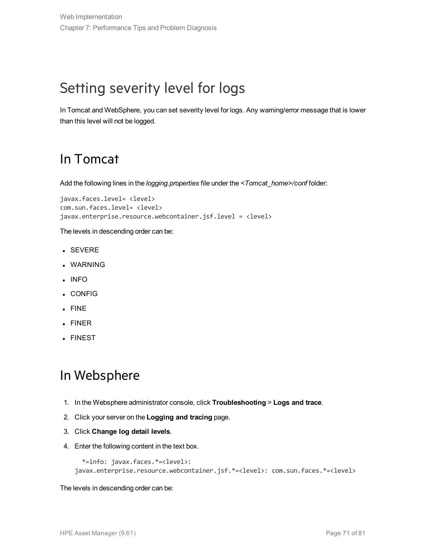# <span id="page-70-0"></span>Setting severity level for logs

In Tomcat and WebSphere, you can set severity level for logs. Any warning/error message that is lower than this level will not be logged.

## In Tomcat

Add the following lines in the *logging.properties* file under the *<Tomcat\_home>/conf* folder:

javax.faces.level= <level> com.sun.faces.level= <level> javax.enterprise.resource.webcontainer.jsf.level = <level>

The levels in descending order can be:

- SEVERE
- WARNING
- INFO
- <sup>l</sup> CONFIG
- $\cdot$  FINE
- **.** FINER
- FINEST

## In Websphere

- 1. In the Websphere administrator console, click **Troubleshooting** > **Logs and trace**.
- 2. Click your server on the **Logging and tracing** page.
- 3. Click **Change log detail levels**.
- 4. Enter the following content in the text box.

```
*=info: javax.faces.*=<level>:
javax.enterprise.resource.webcontainer.jsf.*=<level>: com.sun.faces.*=<level>
```
The levels in descending order can be: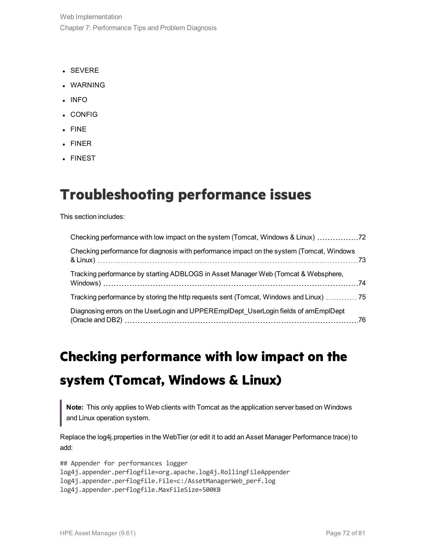Web Implementation Chapter 7: Performance Tips and Problem Diagnosis

- SEVERE
- **.** WARNING
- INFO
- <sup>l</sup> CONFIG
- <sup>l</sup> FINE
- **.** FINER
- FINEST

# <span id="page-71-0"></span>**Troubleshooting performance issues**

This section includes:

| Checking performance with low impact on the system (Tomcat, Windows & Linux)              |  |
|-------------------------------------------------------------------------------------------|--|
| Checking performance for diagnosis with performance impact on the system (Tomcat, Windows |  |
| Tracking performance by starting ADBLOGS in Asset Manager Web (Tomcat & Websphere,        |  |
| Tracking performance by storing the http requests sent (Tomcat, Windows and Linux)  75    |  |
| Diagnosing errors on the UserLogin and UPPEREmplDept UserLogin fields of amEmplDept       |  |

# <span id="page-71-1"></span>**Checking performance with low impact on the system (Tomcat, Windows & Linux)**

**Note:** This only applies to Web clients with Tomcat as the application server based on Windows and Linux operation system.

Replace the log4j.properties in the WebTier (or edit it to add an Asset Manager Performance trace) to add:

```
## Appender for performances logger
log4j.appender.perflogfile=org.apache.log4j.RollingFileAppender
log4j.appender.perflogfile.File=c:/AssetManagerWeb_perf.log
log4j.appender.perflogfile.MaxFileSize=500KB
```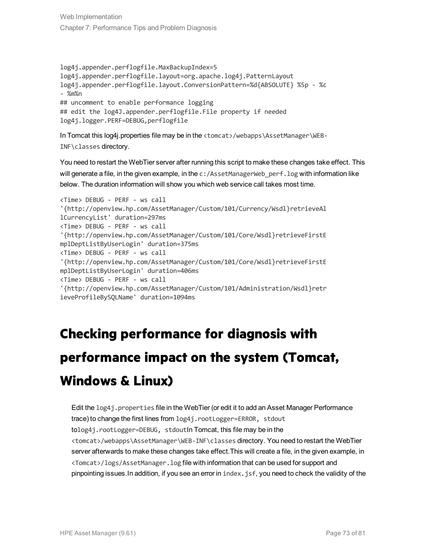Web Implementation Chapter 7: Performance Tips and Problem Diagnosis

log4j.appender.perflogfile.MaxBackupIndex=5 log4j.appender.perflogfile.layout=org.apache.log4j.PatternLayout log4j.appender.perflogfile.layout.ConversionPattern=%d{ABSOLUTE} %5p - %c - %m%n ## uncomment to enable performance logging ## edit the log4J.appender.perflogfile.File property if needed log4j.logger.PERF=DEBUG,perflogfile

In Tomcat this log4j.properties file may be in the <tomcat>/webapps\AssetManager\WEB-INF\classes directory.

You need to restart the WebTier server after running this script to make these changes take effect. This will generate a file, in the given example, in the c:/AssetManagerWeb\_perf.log with information like below. The duration information will show you which web service call takes most time.

```
<Time> DEBUG - PERF - ws call
'{http://openview.hp.com/AssetManager/Custom/101/Currency/Wsdl}retrieveAl
lCurrencyList' duration=297ms
<Time> DEBUG - PERF - ws call
'{http://openview.hp.com/AssetManager/Custom/101/Core/Wsdl}retrieveFirstE
mplDeptListByUserLogin' duration=375ms
<Time> DEBUG - PERF - ws call
'{http://openview.hp.com/AssetManager/Custom/101/Core/Wsdl}retrieveFirstE
mplDeptListByUserLogin' duration=406ms
<Time> DEBUG - PERF - ws call
'{http://openview.hp.com/AssetManager/Custom/101/Administration/Wsdl}retr
ieveProfileBySQLName' duration=1094ms
```
## **Checking performance for diagnosis with performance impact on the system (Tomcat, Windows & Linux)**

Edit the log4j.properties file in the WebTier (or edit it to add an Asset Manager Performance trace) to change the first lines from  $log4j$ . rootLogger=ERROR, stdout tolog4j.rootLogger=DEBUG, stdoutIn Tomcat, this file may be in the <tomcat>/webapps\AssetManager\WEB-INF\classes directory. You need to restart the WebTier server afterwards to make these changes take effect.This will create a file, in the given example, in <Tomcat>/logs/AssetManager.log file with information that can be used for support and pinpointing issues. In addition, if you see an error in index. jsf, you need to check the validity of the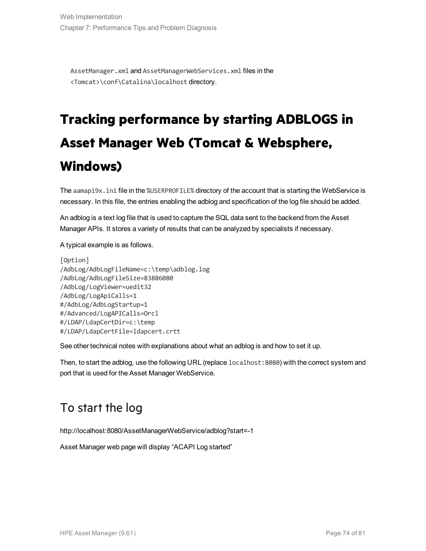AssetManager.xml and AssetManagerWebServices.xml files in the <Tomcat>\conf\Catalina\localhost directory.

## **Tracking performance by starting ADBLOGS in Asset Manager Web (Tomcat & Websphere, Windows)**

The aamapi9x.ini file in the %USERPROFILE% directory of the account that is starting the WebService is necessary. In this file, the entries enabling the adblog and specification of the log file should be added.

An adblog is a text log file that is used to capture the SQL data sent to the backend from the Asset Manager APIs. It stores a variety of results that can be analyzed by specialists if necessary.

A typical example is as follows.

```
[Option]
/AdbLog/AdbLogFileName=c:\temp\adblog.log
/AdbLog/AdbLogFileSize=83886080
/AdbLog/LogViewer=uedit32
/AdbLog/LogApiCalls=1
#/AdbLog/AdbLogStartup=1
#/Advanced/LogAPICalls=Orcl
#/LDAP/LdapCertDir=c:\temp
#/LDAP/LdapCertFile=ldapcert.crtt
```
See other technical notes with explanations about what an adblog is and how to set it up.

Then, to start the adblog, use the following URL (replace localhost:8080) with the correct system and port that is used for the Asset Manager WebService.

### To start the log

http://localhost:8080/AssetManagerWebService/adblog?start=-1

Asset Manager web page will display "ACAPI Log started"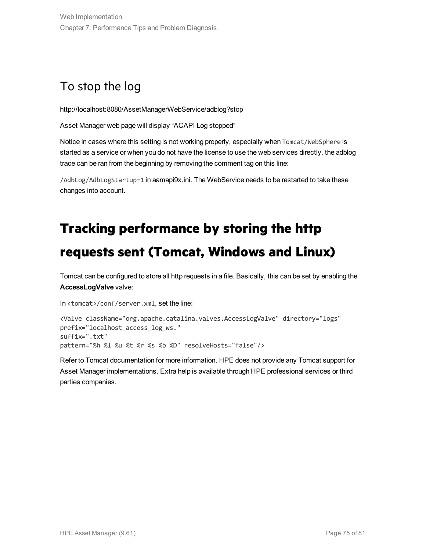### To stop the log

http://localhost:8080/AssetManagerWebService/adblog?stop

Asset Manager web page will display "ACAPI Log stopped"

Notice in cases where this setting is not working properly, especially when Tomcat/WebSphere is started as a service or when you do not have the license to use the web services directly, the adblog trace can be ran from the beginning by removing the comment tag on this line:

/AdbLog/AdbLogStartup=1 in aamapi9x.ini. The WebService needs to be restarted to take these changes into account.

# **Tracking performance by storing the http**

#### **requests sent (Tomcat, Windows and Linux)**

Tomcat can be configured to store all http requests in a file. Basically, this can be set by enabling the **AccessLogValve** valve:

In <tomcat>/conf/server.xml, set the line:

```
<Valve className="org.apache.catalina.valves.AccessLogValve" directory="logs"
prefix="localhost access log ws."
suffix=".txt"
pattern="%h %l %u %t %r %s %b %D" resolveHosts="false"/>
```
Refer to Tomcat documentation for more information. HPE does not provide any Tomcat support for Asset Manager implementations. Extra help is available through HPE professional services or third parties companies.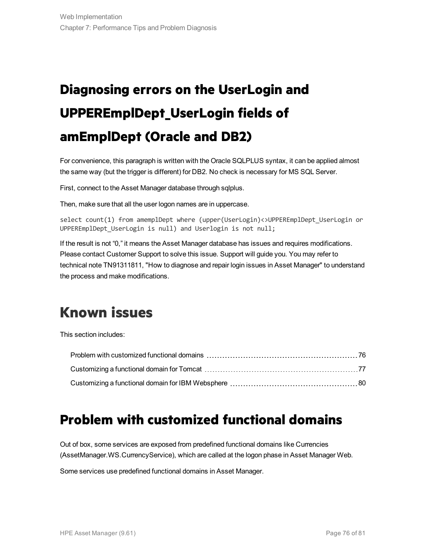## **Diagnosing errors on the UserLogin and UPPEREmplDept\_UserLogin fields of amEmplDept (Oracle and DB2)**

For convenience, this paragraph is written with the Oracle SQLPLUS syntax, it can be applied almost the same way (but the trigger is different) for DB2. No check is necessary for MS SQL Server.

First, connect to the Asset Manager database through sqlplus.

Then, make sure that all the user logon names are in uppercase.

select count(1) from amemplDept where (upper(UserLogin)<>UPPEREmplDept UserLogin or UPPEREmplDept UserLogin is null) and Userlogin is not null;

If the result is not "0," it means the Asset Manager database has issues and requires modifications. Please contact Customer Support to solve this issue. Support will guide you. You may refer to technical note TN91311811, "How to diagnose and repair login issues in Asset Manager" to understand the process and make modifications.

### **Known issues**

This section includes:

#### <span id="page-75-0"></span>**Problem with customized functional domains**

Out of box, some services are exposed from predefined functional domains like Currencies (AssetManager.WS.CurrencyService), which are called at the logon phase in Asset Manager Web.

Some services use predefined functional domains in Asset Manager.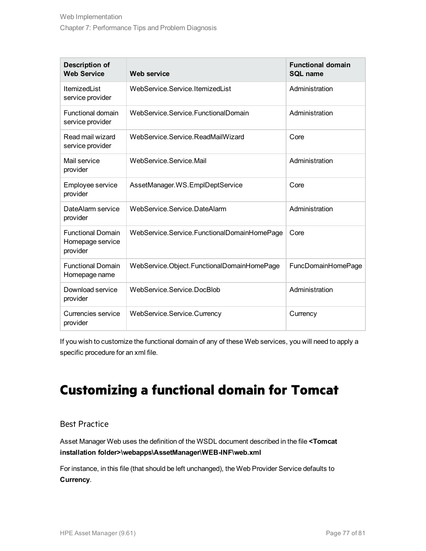| <b>Description of</b><br><b>Web Service</b>              | Web service                                 | <b>Functional domain</b><br><b>SQL name</b> |
|----------------------------------------------------------|---------------------------------------------|---------------------------------------------|
| ItemizedList<br>service provider                         | WebService Service Itemized List            | Administration                              |
| Functional domain<br>service provider                    | WebService.Service.FunctionalDomain         | Administration                              |
| Read mail wizard<br>service provider                     | WebService Service ReadMailWizard           | Core                                        |
| Mail service<br>provider                                 | WebService Service Mail                     | Administration                              |
| Employee service<br>provider                             | AssetManager.WS.EmplDeptService             | Core                                        |
| DateAlarm service<br>provider                            | WebService Service DateAlarm                | Administration                              |
| <b>Functional Domain</b><br>Homepage service<br>provider | WebService.Service.FunctionalDomainHomePage | Core                                        |
| <b>Functional Domain</b><br>Homepage name                | WebService.Object.FunctionalDomainHomePage  | FuncDomainHomePage                          |
| Download service<br>provider                             | WebService Service DocBlob                  | Administration                              |
| Currencies service<br>provider                           | WebService.Service.Currency                 | Currency                                    |

<span id="page-76-0"></span>If you wish to customize the functional domain of any of these Web services, you will need to apply a specific procedure for an xml file.

### **Customizing a functional domain for Tomcat**

#### Best Practice

Asset Manager Web uses the definition of the WSDL document described in the file **<Tomcat installation folder>\webapps\AssetManager\WEB-INF\web.xml**

For instance, in this file (that should be left unchanged), the Web Provider Service defaults to **Currency**.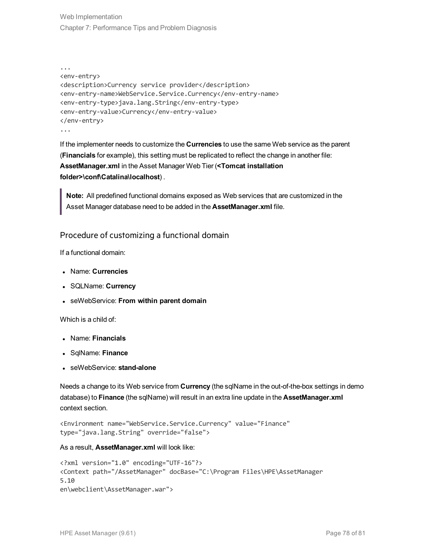Web Implementation Chapter 7: Performance Tips and Problem Diagnosis

```
...
<env-entry>
<description>Currency service provider</description>
<env-entry-name>WebService.Service.Currency</env-entry-name>
<env-entry-type>java.lang.String</env-entry-type>
<env-entry-value>Currency</env-entry-value>
</env-entry>
...
```
If the implementer needs to customize the **Currencies** to use the same Web service as the parent (**Financials** for example), this setting must be replicated to reflect the change in another file: **AssetManager.xml** in the Asset Manager Web Tier (**<Tomcat installation folder>\conf\Catalina\localhost**) .

**Note:** All predefined functional domains exposed as Web services that are customized in the Asset Manager database need to be added in the **AssetManager.xml** file.

#### Procedure of customizing a functional domain

If a functional domain:

- <sup>l</sup> Name: **Currencies**
- <sup>l</sup> SQLName: **Currency**
- <sup>l</sup> seWebService: **From within parent domain**

Which is a child of:

- <sup>l</sup> Name: **Financials**
- <sup>l</sup> SqlName: **Finance**
- <sup>l</sup> seWebService: **stand-alone**

Needs a change to its Web service from **Currency** (the sqlName in the out-of-the-box settings in demo database) to **Finance** (the sqlName) will result in an extra line update in the **AssetManager.xml** context section.

<Environment name="WebService.Service.Currency" value="Finance" type="java.lang.String" override="false">

#### As a result, **AssetManager.xml** will look like:

```
<?xml version="1.0" encoding="UTF-16"?>
<Context path="/AssetManager" docBase="C:\Program Files\HPE\AssetManager
5.10
en\webclient\AssetManager.war">
```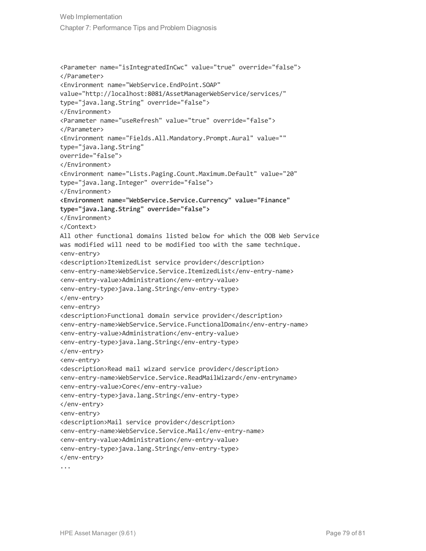```
<Parameter name="isIntegratedInCwc" value="true" override="false">
</Parameter>
<Environment name="WebService.EndPoint.SOAP"
value="http://localhost:8081/AssetManagerWebService/services/"
type="java.lang.String" override="false">
</Environment>
<Parameter name="useRefresh" value="true" override="false">
</Parameter>
<Environment name="Fields.All.Mandatory.Prompt.Aural" value=""
type="java.lang.String"
override="false">
</Environment>
<Environment name="Lists.Paging.Count.Maximum.Default" value="20"
type="java.lang.Integer" override="false">
</Environment>
<Environment name="WebService.Service.Currency" value="Finance"
type="java.lang.String" override="false">
</Environment>
</Context>
All other functional domains listed below for which the OOB Web Service
was modified will need to be modified too with the same technique.
<env-entry>
<description>ItemizedList service provider</description>
<env-entry-name>WebService.Service.ItemizedList</env-entry-name>
<env-entry-value>Administration</env-entry-value>
<env-entry-type>java.lang.String</env-entry-type>
</env-entry>
<env-entry>
<description>Functional domain service provider</description>
<env-entry-name>WebService.Service.FunctionalDomain</env-entry-name>
<env-entry-value>Administration</env-entry-value>
<env-entry-type>java.lang.String</env-entry-type>
</env-entry>
<env-entry>
<description>Read mail wizard service provider</description>
<env-entry-name>WebService.Service.ReadMailWizard</env-entryname>
<env-entry-value>Core</env-entry-value>
<env-entry-type>java.lang.String</env-entry-type>
</env-entry>
<env-entry>
<description>Mail service provider</description>
<env-entry-name>WebService.Service.Mail</env-entry-name>
<env-entry-value>Administration</env-entry-value>
<env-entry-type>java.lang.String</env-entry-type>
</env-entry>
...
```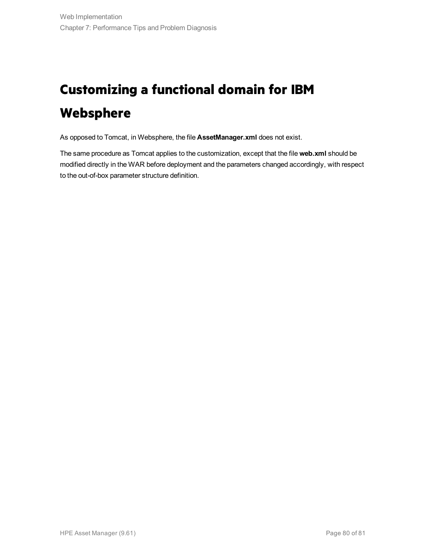## <span id="page-79-0"></span>**Customizing a functional domain for IBM Websphere**

As opposed to Tomcat, in Websphere, the file **AssetManager.xml** does not exist.

The same procedure as Tomcat applies to the customization, except that the file **web.xml** should be modified directly in the WAR before deployment and the parameters changed accordingly, with respect to the out-of-box parameter structure definition.